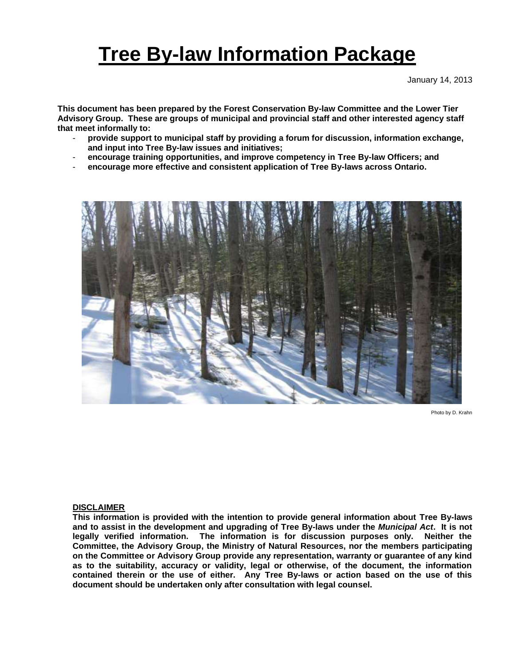# **Tree By-law Information Package**

January 14, 2013

**This document has been prepared by the Forest Conservation By-law Committee and the Lower Tier Advisory Group. These are groups of municipal and provincial staff and other interested agency staff that meet informally to:**

- **provide support to municipal staff by providing a forum for discussion, information exchange, and input into Tree By-law issues and initiatives;**
- **encourage training opportunities, and improve competency in Tree By-law Officers; and**
- **encourage more effective and consistent application of Tree By-laws across Ontario.**



Photo by D. Krahn

#### **DISCLAIMER**

**This information is provided with the intention to provide general information about Tree By-laws and to assist in the development and upgrading of Tree By-laws under the** *Municipal Act***. It is not legally verified information. The information is for discussion purposes only. Neither the Committee, the Advisory Group, the Ministry of Natural Resources, nor the members participating on the Committee or Advisory Group provide any representation, warranty or guarantee of any kind as to the suitability, accuracy or validity, legal or otherwise, of the document, the information contained therein or the use of either. Any Tree By-laws or action based on the use of this document should be undertaken only after consultation with legal counsel.**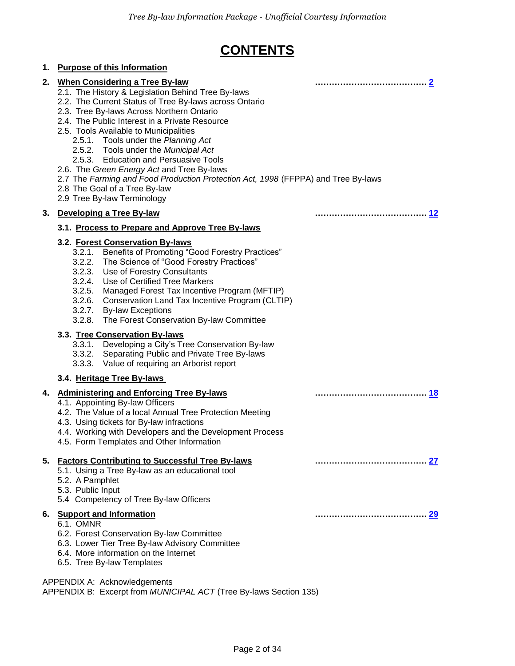## **CONTENTS**

#### **1. Purpose of this Information 2. When Considering a Tree By-law …………………………………. [2](#page-2-0)** 2.1. The History & Legislation Behind Tree By-laws 2.2. The Current Status of Tree By-laws across Ontario 2.3. Tree By-laws Across Northern Ontario 2.4. The Public Interest in a Private Resource 2.5. Tools Available to Municipalities 2.5.1. Tools under the *Planning Act* 2.5.2. Tools under the *Municipal Act* 2.5.3. Education and Persuasive Tools 2.6. The *Green Energy Act* and Tree By-laws 2.7 The *Farming and Food Production Protection Act, 1998* (FFPPA) and Tree By-laws 2.8 The Goal of a Tree By-law 2.9 Tree By-law Terminology **3. Developing a Tree By-law …………………………………. [12](#page-11-0) 3.1. Process to Prepare and Approve Tree By-laws 3.2. Forest Conservation By-laws** 3.2.1. Benefits of Promoting "Good Forestry Practices" 3.2.2. The Science of "Good Forestry Practices" 3.2.3. Use of Forestry Consultants 3.2.4. Use of Certified Tree Markers 3.2.5. Managed Forest Tax Incentive Program (MFTIP) 3.2.6. Conservation Land Tax Incentive Program (CLTIP) 3.2.7. By-law Exceptions 3.2.8. The Forest Conservation By-law Committee **3.3. Tree Conservation By-laws** 3.3.1. Developing a City's Tree Conservation By-law 3.3.2. Separating Public and Private Tree By-laws 3.3.3. Value of requiring an Arborist report **3.4. Heritage Tree By-laws 4. Administering and Enforcing Tree By-laws …………………………………. [18](#page-17-0)** 4.1. Appointing By-law Officers 4.2. The Value of a local Annual Tree Protection Meeting 4.3. Using tickets for By-law infractions 4.4. Working with Developers and the Development Process 4.5. Form Templates and Other Information **5. Factors Contributing to Successful Tree By-laws …………………………………. [27](#page-26-0)** 5.1. Using a Tree By-law as an educational tool 5.2. A Pamphlet 5.3. Public Input 5.4 Competency of Tree By-law Officers **6. Support and Information …………………………………. [29](#page-28-0)** 6.1. OMNR 6.2. Forest Conservation By-law Committee 6.3. Lower Tier Tree By-law Advisory Committee 6.4. More information on the Internet 6.5. Tree By-law Templates

#### APPENDIX A: Acknowledgements

APPENDIX B: Excerpt from *MUNICIPAL ACT* (Tree By-laws Section 135)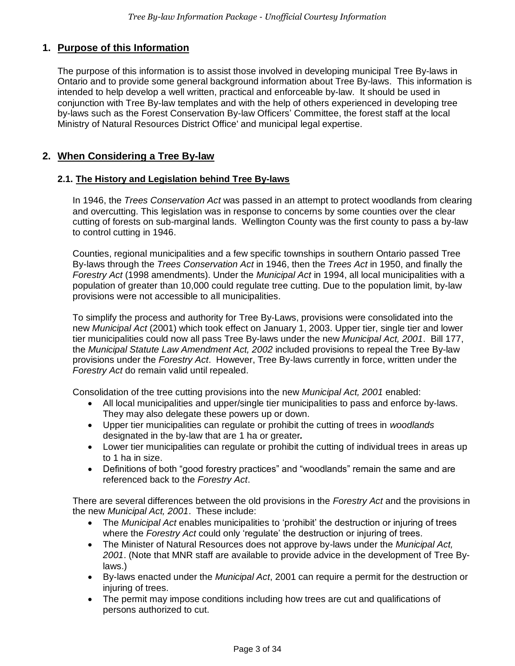## **1. Purpose of this Information**

The purpose of this information is to assist those involved in developing municipal Tree By-laws in Ontario and to provide some general background information about Tree By-laws. This information is intended to help develop a well written, practical and enforceable by-law. It should be used in conjunction with Tree By-law templates and with the help of others experienced in developing tree by-laws such as the Forest Conservation By-law Officers' Committee, the forest staff at the local Ministry of Natural Resources District Office' and municipal legal expertise.

## <span id="page-2-0"></span>**2. When Considering a Tree By-law**

## **2.1. The History and Legislation behind Tree By-laws**

In 1946, the *Trees Conservation Act* was passed in an attempt to protect woodlands from clearing and overcutting. This legislation was in response to concerns by some counties over the clear cutting of forests on sub-marginal lands. Wellington County was the first county to pass a by-law to control cutting in 1946.

Counties, regional municipalities and a few specific townships in southern Ontario passed Tree By-laws through the *Trees Conservation Act* in 1946, then the *Trees Act* in 1950, and finally the *Forestry Act* (1998 amendments). Under the *Municipal Act* in 1994, all local municipalities with a population of greater than 10,000 could regulate tree cutting. Due to the population limit, by-law provisions were not accessible to all municipalities.

To simplify the process and authority for Tree By-Laws, provisions were consolidated into the new *Municipal Act* (2001) which took effect on January 1, 2003. Upper tier, single tier and lower tier municipalities could now all pass Tree By-laws under the new *Municipal Act, 2001*. Bill 177, the *Municipal Statute Law Amendment Act, 2002* included provisions to repeal the Tree By-law provisions under the *Forestry Act*. However, Tree By-laws currently in force, written under the *Forestry Act* do remain valid until repealed.

Consolidation of the tree cutting provisions into the new *Municipal Act, 2001* enabled:

- All local municipalities and upper/single tier municipalities to pass and enforce by-laws. They may also delegate these powers up or down.
- Upper tier municipalities can regulate or prohibit the cutting of trees in *woodlands* designated in the by-law that are 1 ha or greater*.*
- Lower tier municipalities can regulate or prohibit the cutting of individual trees in areas up to 1 ha in size.
- Definitions of both "good forestry practices" and "woodlands" remain the same and are referenced back to the *Forestry Act*.

There are several differences between the old provisions in the *Forestry Act* and the provisions in the new *Municipal Act, 2001*. These include:

- The *Municipal Act* enables municipalities to 'prohibit' the destruction or injuring of trees where the *Forestry Act* could only 'regulate' the destruction or injuring of trees.
- The Minister of Natural Resources does not approve by-laws under the *Municipal Act, 2001*. (Note that MNR staff are available to provide advice in the development of Tree Bylaws.)
- By-laws enacted under the *Municipal Act*, 2001 can require a permit for the destruction or injuring of trees.
- The permit may impose conditions including how trees are cut and qualifications of persons authorized to cut.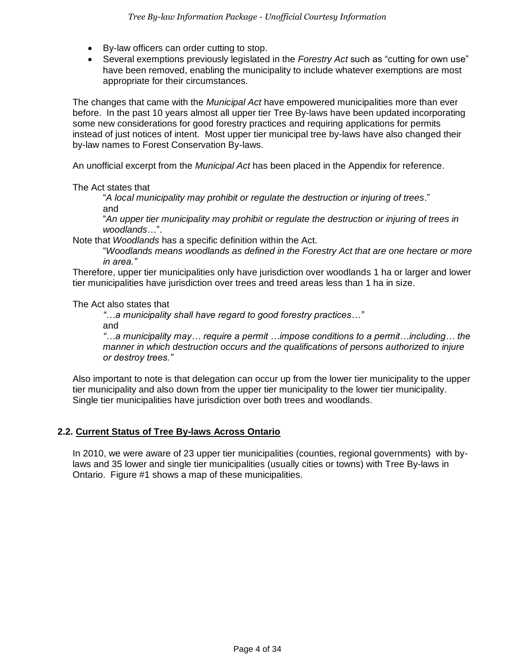- By-law officers can order cutting to stop.
- Several exemptions previously legislated in the *Forestry Act* such as "cutting for own use" have been removed, enabling the municipality to include whatever exemptions are most appropriate for their circumstances.

The changes that came with the *Municipal Act* have empowered municipalities more than ever before. In the past 10 years almost all upper tier Tree By-laws have been updated incorporating some new considerations for good forestry practices and requiring applications for permits instead of just notices of intent. Most upper tier municipal tree by-laws have also changed their by-law names to Forest Conservation By-laws.

An unofficial excerpt from the *Municipal Act* has been placed in the Appendix for reference.

The Act states that

"*A local municipality may prohibit or regulate the destruction or injuring of trees*." and

"*An upper tier municipality may prohibit or regulate the destruction or injuring of trees in woodlands*…".

Note that *Woodlands* has a specific definition within the Act.

"*Woodlands means woodlands as defined in the Forestry Act that are one hectare or more in area."* 

Therefore, upper tier municipalities only have jurisdiction over woodlands 1 ha or larger and lower tier municipalities have jurisdiction over trees and treed areas less than 1 ha in size.

The Act also states that

*"…a municipality shall have regard to good forestry practices…"*

and

*"…a municipality may… require a permit …impose conditions to a permit…including… the manner in which destruction occurs and the qualifications of persons authorized to injure or destroy trees."*

Also important to note is that delegation can occur up from the lower tier municipality to the upper tier municipality and also down from the upper tier municipality to the lower tier municipality. Single tier municipalities have jurisdiction over both trees and woodlands.

## **2.2. Current Status of Tree By-laws Across Ontario**

In 2010, we were aware of 23 upper tier municipalities (counties, regional governments) with bylaws and 35 lower and single tier municipalities (usually cities or towns) with Tree By-laws in Ontario. Figure #1 shows a map of these municipalities.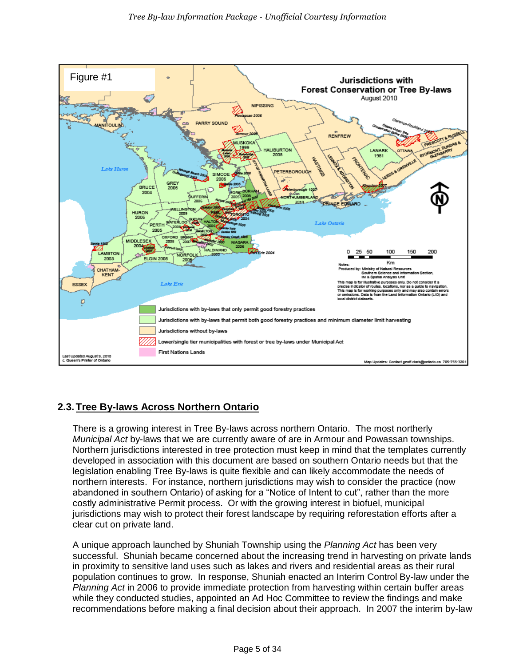

## **2.3.Tree By-laws Across Northern Ontario**

There is a growing interest in Tree By-laws across northern Ontario. The most northerly *Municipal Act* by-laws that we are currently aware of are in Armour and Powassan townships. Northern jurisdictions interested in tree protection must keep in mind that the templates currently developed in association with this document are based on southern Ontario needs but that the legislation enabling Tree By-laws is quite flexible and can likely accommodate the needs of northern interests. For instance, northern jurisdictions may wish to consider the practice (now abandoned in southern Ontario) of asking for a "Notice of Intent to cut", rather than the more costly administrative Permit process. Or with the growing interest in biofuel, municipal jurisdictions may wish to protect their forest landscape by requiring reforestation efforts after a clear cut on private land.

A unique approach launched by Shuniah Township using the *Planning Act* has been very successful. Shuniah became concerned about the increasing trend in harvesting on private lands in proximity to sensitive land uses such as lakes and rivers and residential areas as their rural population continues to grow. In response, Shuniah enacted an Interim Control By-law under the *Planning Act* in 2006 to provide immediate protection from harvesting within certain buffer areas while they conducted studies, appointed an Ad Hoc Committee to review the findings and make recommendations before making a final decision about their approach. In 2007 the interim by-law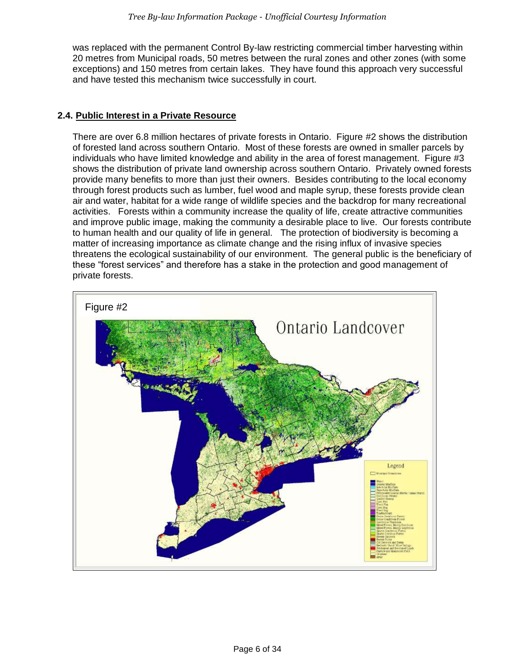was replaced with the permanent Control By-law restricting commercial timber harvesting within 20 metres from Municipal roads, 50 metres between the rural zones and other zones (with some exceptions) and 150 metres from certain lakes. They have found this approach very successful and have tested this mechanism twice successfully in court.

## **2.4. Public Interest in a Private Resource**

There are over 6.8 million hectares of private forests in Ontario. Figure #2 shows the distribution of forested land across southern Ontario. Most of these forests are owned in smaller parcels by individuals who have limited knowledge and ability in the area of forest management. Figure #3 shows the distribution of private land ownership across southern Ontario. Privately owned forests provide many benefits to more than just their owners. Besides contributing to the local economy through forest products such as lumber, fuel wood and maple syrup, these forests provide clean air and water, habitat for a wide range of wildlife species and the backdrop for many recreational activities. Forests within a community increase the quality of life, create attractive communities and improve public image, making the community a desirable place to live. Our forests contribute to human health and our quality of life in general. The protection of biodiversity is becoming a matter of increasing importance as climate change and the rising influx of invasive species threatens the ecological sustainability of our environment. The general public is the beneficiary of these "forest services" and therefore has a stake in the protection and good management of private forests.

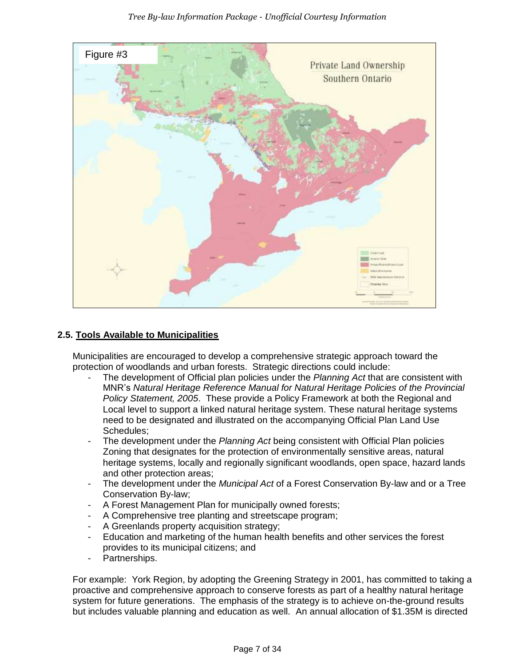

## **2.5. Tools Available to Municipalities**

Municipalities are encouraged to develop a comprehensive strategic approach toward the protection of woodlands and urban forests. Strategic directions could include:

- The development of Official plan policies under the *Planning Act* that are consistent with MNR's *Natural Heritage Reference Manual for Natural Heritage Policies of the Provincial Policy Statement, 2005*. These provide a Policy Framework at both the Regional and Local level to support a linked natural heritage system. These natural heritage systems need to be designated and illustrated on the accompanying Official Plan Land Use Schedules;
- The development under the *Planning Act* being consistent with Official Plan policies Zoning that designates for the protection of environmentally sensitive areas, natural heritage systems, locally and regionally significant woodlands, open space, hazard lands and other protection areas;
- The development under the *Municipal Act* of a Forest Conservation By-law and or a Tree Conservation By-law;
- A Forest Management Plan for municipally owned forests;
- A Comprehensive tree planting and streetscape program;
- A Greenlands property acquisition strategy;
- Education and marketing of the human health benefits and other services the forest provides to its municipal citizens; and
- Partnerships.

For example: York Region, by adopting the Greening Strategy in 2001, has committed to taking a proactive and comprehensive approach to conserve forests as part of a healthy natural heritage system for future generations. The emphasis of the strategy is to achieve on-the-ground results but includes valuable planning and education as well. An annual allocation of \$1.35M is directed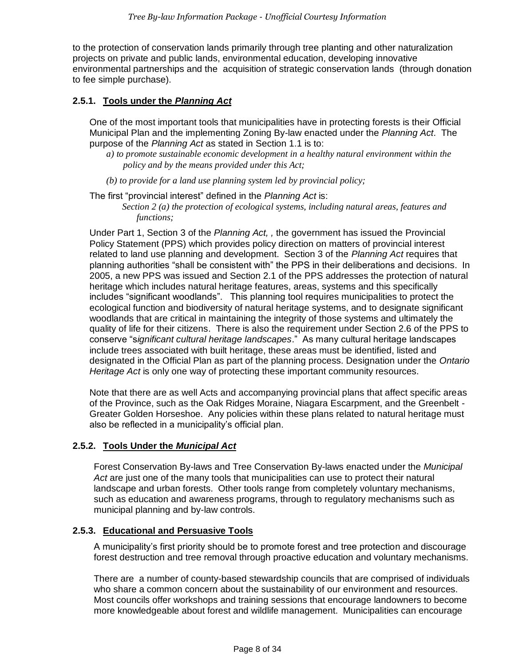to the protection of conservation lands primarily through tree planting and other naturalization projects on private and public lands, environmental education, developing innovative environmental partnerships and the acquisition of strategic conservation lands (through donation to fee simple purchase).

## **2.5.1. Tools under the** *Planning Act*

One of the most important tools that municipalities have in protecting forests is their Official Municipal Plan and the implementing Zoning By-law enacted under the *Planning Act*. The purpose of the *Planning Act* as stated in Section 1.1 is to:

- *a) to promote sustainable economic development in a healthy natural environment within the policy and by the means provided under this Act;*
- *(b) to provide for a land use planning system led by provincial policy;*

The first "provincial interest" defined in the *Planning Act* is:

*Section 2 (a) the protection of ecological systems, including natural areas, features and functions;*

Under Part 1, Section 3 of the *Planning Act, ,* the government has issued the Provincial Policy Statement (PPS) which provides policy direction on matters of provincial interest related to land use planning and development. Section 3 of the *Planning Act* requires that planning authorities "shall be consistent with" the PPS in their deliberations and decisions. In 2005, a new PPS was issued and Section 2.1 of the PPS addresses the protection of natural heritage which includes natural heritage features, areas, systems and this specifically includes "significant woodlands". This planning tool requires municipalities to protect the ecological function and biodiversity of natural heritage systems, and to designate significant woodlands that are critical in maintaining the integrity of those systems and ultimately the quality of life for their citizens. There is also the requirement under Section 2.6 of the PPS to conserve "s*ignificant cultural heritage landscapes*." As many cultural heritage landscapes include trees associated with built heritage, these areas must be identified, listed and designated in the Official Plan as part of the planning process. Designation under the *Ontario Heritage Act* is only one way of protecting these important community resources.

Note that there are as well Acts and accompanying provincial plans that affect specific areas of the Province, such as the Oak Ridges Moraine, Niagara Escarpment, and the Greenbelt - Greater Golden Horseshoe. Any policies within these plans related to natural heritage must also be reflected in a municipality's official plan.

#### **2.5.2. Tools Under the** *Municipal Act*

Forest Conservation By-laws and Tree Conservation By-laws enacted under the *Municipal Act* are just one of the many tools that municipalities can use to protect their natural landscape and urban forests. Other tools range from completely voluntary mechanisms, such as education and awareness programs, through to regulatory mechanisms such as municipal planning and by-law controls.

#### **2.5.3. Educational and Persuasive Tools**

A municipality's first priority should be to promote forest and tree protection and discourage forest destruction and tree removal through proactive education and voluntary mechanisms.

There are a number of county-based stewardship councils that are comprised of individuals who share a common concern about the sustainability of our environment and resources. Most councils offer workshops and training sessions that encourage landowners to become more knowledgeable about forest and wildlife management. Municipalities can encourage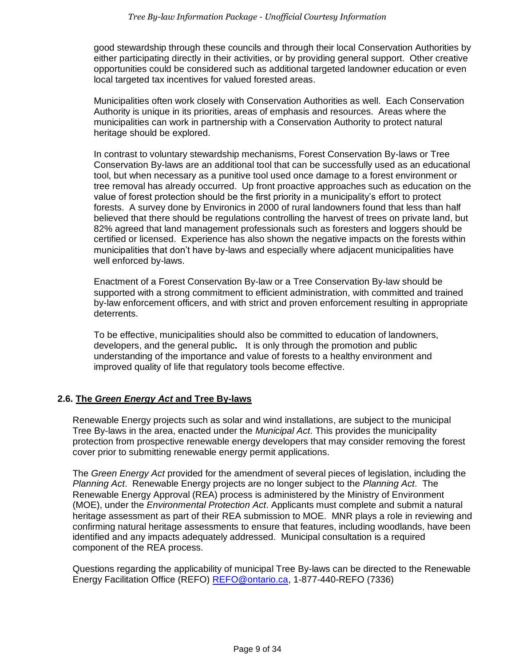good stewardship through these councils and through their local Conservation Authorities by either participating directly in their activities, or by providing general support. Other creative opportunities could be considered such as additional targeted landowner education or even local targeted tax incentives for valued forested areas.

Municipalities often work closely with Conservation Authorities as well. Each Conservation Authority is unique in its priorities, areas of emphasis and resources. Areas where the municipalities can work in partnership with a Conservation Authority to protect natural heritage should be explored.

In contrast to voluntary stewardship mechanisms, Forest Conservation By-laws or Tree Conservation By-laws are an additional tool that can be successfully used as an educational tool, but when necessary as a punitive tool used once damage to a forest environment or tree removal has already occurred. Up front proactive approaches such as education on the value of forest protection should be the first priority in a municipality's effort to protect forests. A survey done by Environics in 2000 of rural landowners found that less than half believed that there should be regulations controlling the harvest of trees on private land, but 82% agreed that land management professionals such as foresters and loggers should be certified or licensed. Experience has also shown the negative impacts on the forests within municipalities that don't have by-laws and especially where adjacent municipalities have well enforced by-laws.

Enactment of a Forest Conservation By-law or a Tree Conservation By-law should be supported with a strong commitment to efficient administration, with committed and trained by-law enforcement officers, and with strict and proven enforcement resulting in appropriate deterrents.

To be effective, municipalities should also be committed to education of landowners, developers, and the general public*.* It is only through the promotion and public understanding of the importance and value of forests to a healthy environment and improved quality of life that regulatory tools become effective.

## **2.6. The** *Green Energy Act* **and Tree By-laws**

Renewable Energy projects such as solar and wind installations, are subject to the municipal Tree By-laws in the area, enacted under the *Municipal Act*. This provides the municipality protection from prospective renewable energy developers that may consider removing the forest cover prior to submitting renewable energy permit applications.

The *Green Energy Act* provided for the amendment of several pieces of legislation, including the *Planning Act*. Renewable Energy projects are no longer subject to the *Planning Act*. The Renewable Energy Approval (REA) process is administered by the Ministry of Environment (MOE), under the *Environmental Protection Act*. Applicants must complete and submit a natural heritage assessment as part of their REA submission to MOE. MNR plays a role in reviewing and confirming natural heritage assessments to ensure that features, including woodlands, have been identified and any impacts adequately addressed. Municipal consultation is a required component of the REA process.

Questions regarding the applicability of municipal Tree By-laws can be directed to the Renewable Energy Facilitation Office (REFO) [REFO@ontario.ca,](mailto:REFO@ontario.ca) 1-877-440-REFO (7336)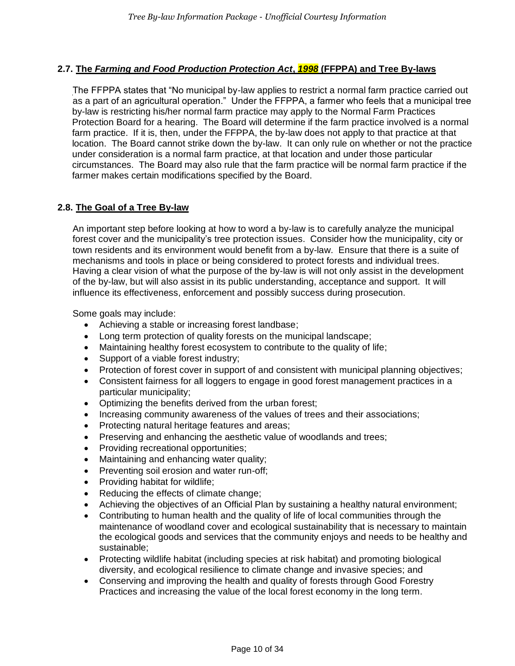## **2.7. The** *Farming and Food Production Protection Act***,** *1998* **(FFPPA) and Tree By-laws**

The FFPPA states that "No municipal by-law applies to restrict a normal farm practice carried out as a part of an agricultural operation." Under the FFPPA, a farmer who feels that a municipal tree by-law is restricting his/her normal farm practice may apply to the Normal Farm Practices Protection Board for a hearing. The Board will determine if the farm practice involved is a normal farm practice. If it is, then, under the FFPPA, the by-law does not apply to that practice at that location. The Board cannot strike down the by-law. It can only rule on whether or not the practice under consideration is a normal farm practice, at that location and under those particular circumstances. The Board may also rule that the farm practice will be normal farm practice if the farmer makes certain modifications specified by the Board.

## **2.8. The Goal of a Tree By-law**

An important step before looking at how to word a by-law is to carefully analyze the municipal forest cover and the municipality's tree protection issues. Consider how the municipality, city or town residents and its environment would benefit from a by-law. Ensure that there is a suite of mechanisms and tools in place or being considered to protect forests and individual trees. Having a clear vision of what the purpose of the by-law is will not only assist in the development of the by-law, but will also assist in its public understanding, acceptance and support. It will influence its effectiveness, enforcement and possibly success during prosecution.

Some goals may include:

- Achieving a stable or increasing forest landbase;
- Long term protection of quality forests on the municipal landscape;
- Maintaining healthy forest ecosystem to contribute to the quality of life;
- Support of a viable forest industry;
- Protection of forest cover in support of and consistent with municipal planning objectives;
- Consistent fairness for all loggers to engage in good forest management practices in a particular municipality;
- Optimizing the benefits derived from the urban forest;
- Increasing community awareness of the values of trees and their associations;
- Protecting natural heritage features and areas;
- Preserving and enhancing the aesthetic value of woodlands and trees;
- Providing recreational opportunities;
- Maintaining and enhancing water quality;
- Preventing soil erosion and water run-off;
- Providing habitat for wildlife;
- Reducing the effects of climate change;
- Achieving the objectives of an Official Plan by sustaining a healthy natural environment;
- Contributing to human health and the quality of life of local communities through the maintenance of woodland cover and ecological sustainability that is necessary to maintain the ecological goods and services that the community enjoys and needs to be healthy and sustainable;
- Protecting wildlife habitat (including species at risk habitat) and promoting biological diversity, and ecological resilience to climate change and invasive species; and
- Conserving and improving the health and quality of forests through Good Forestry Practices and increasing the value of the local forest economy in the long term.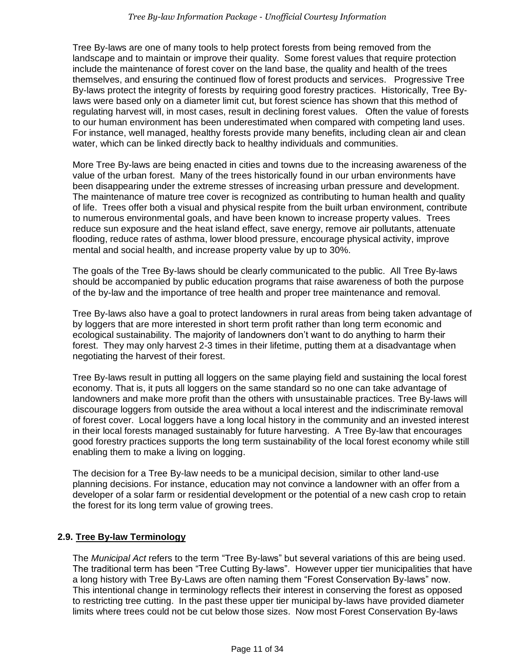Tree By-laws are one of many tools to help protect forests from being removed from the landscape and to maintain or improve their quality. Some forest values that require protection include the maintenance of forest cover on the land base, the quality and health of the trees themselves, and ensuring the continued flow of forest products and services. Progressive Tree By-laws protect the integrity of forests by requiring good forestry practices. Historically, Tree Bylaws were based only on a diameter limit cut, but forest science has shown that this method of regulating harvest will, in most cases, result in declining forest values. Often the value of forests to our human environment has been underestimated when compared with competing land uses. For instance, well managed, healthy forests provide many benefits, including clean air and clean water, which can be linked directly back to healthy individuals and communities.

More Tree By-laws are being enacted in cities and towns due to the increasing awareness of the value of the urban forest. Many of the trees historically found in our urban environments have been disappearing under the extreme stresses of increasing urban pressure and development. The maintenance of mature tree cover is recognized as contributing to human health and quality of life. Trees offer both a visual and physical respite from the built urban environment, contribute to numerous environmental goals, and have been known to increase property values. Trees reduce sun exposure and the heat island effect, save energy, remove air pollutants, attenuate flooding, reduce rates of asthma, lower blood pressure, encourage physical activity, improve mental and social health, and increase property value by up to 30%.

The goals of the Tree By-laws should be clearly communicated to the public. All Tree By-laws should be accompanied by public education programs that raise awareness of both the purpose of the by-law and the importance of tree health and proper tree maintenance and removal.

Tree By-laws also have a goal to protect landowners in rural areas from being taken advantage of by loggers that are more interested in short term profit rather than long term economic and ecological sustainability. The majority of landowners don't want to do anything to harm their forest. They may only harvest 2-3 times in their lifetime, putting them at a disadvantage when negotiating the harvest of their forest.

Tree By-laws result in putting all loggers on the same playing field and sustaining the local forest economy. That is, it puts all loggers on the same standard so no one can take advantage of landowners and make more profit than the others with unsustainable practices. Tree By-laws will discourage loggers from outside the area without a local interest and the indiscriminate removal of forest cover. Local loggers have a long local history in the community and an invested interest in their local forests managed sustainably for future harvesting. A Tree By-law that encourages good forestry practices supports the long term sustainability of the local forest economy while still enabling them to make a living on logging.

The decision for a Tree By-law needs to be a municipal decision, similar to other land-use planning decisions. For instance, education may not convince a landowner with an offer from a developer of a solar farm or residential development or the potential of a new cash crop to retain the forest for its long term value of growing trees.

## **2.9. Tree By-law Terminology**

The *Municipal Act* refers to the term "Tree By-laws" but several variations of this are being used. The traditional term has been "Tree Cutting By-laws". However upper tier municipalities that have a long history with Tree By-Laws are often naming them "Forest Conservation By-laws" now. This intentional change in terminology reflects their interest in conserving the forest as opposed to restricting tree cutting. In the past these upper tier municipal by-laws have provided diameter limits where trees could not be cut below those sizes. Now most Forest Conservation By-laws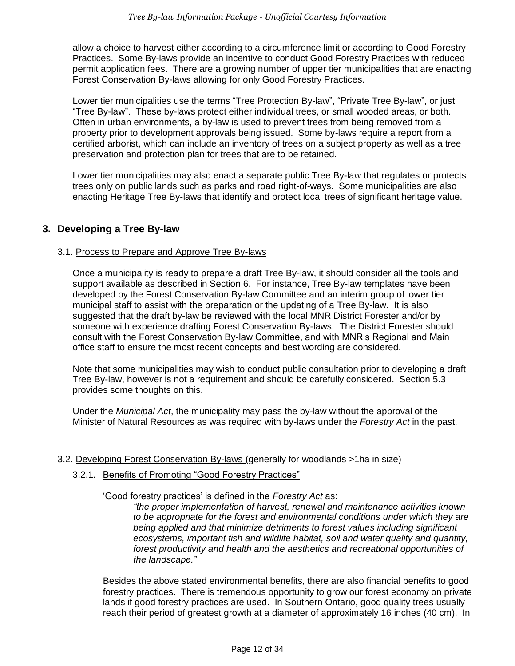allow a choice to harvest either according to a circumference limit or according to Good Forestry Practices. Some By-laws provide an incentive to conduct Good Forestry Practices with reduced permit application fees. There are a growing number of upper tier municipalities that are enacting Forest Conservation By-laws allowing for only Good Forestry Practices.

Lower tier municipalities use the terms "Tree Protection By-law", "Private Tree By-law", or just "Tree By-law". These by-laws protect either individual trees, or small wooded areas, or both. Often in urban environments, a by-law is used to prevent trees from being removed from a property prior to development approvals being issued. Some by-laws require a report from a certified arborist, which can include an inventory of trees on a subject property as well as a tree preservation and protection plan for trees that are to be retained.

Lower tier municipalities may also enact a separate public Tree By-law that regulates or protects trees only on public lands such as parks and road right-of-ways. Some municipalities are also enacting Heritage Tree By-laws that identify and protect local trees of significant heritage value.

## <span id="page-11-0"></span>**3. Developing a Tree By-law**

## 3.1. Process to Prepare and Approve Tree By-laws

Once a municipality is ready to prepare a draft Tree By-law, it should consider all the tools and support available as described in Section 6. For instance, Tree By-law templates have been developed by the Forest Conservation By-law Committee and an interim group of lower tier municipal staff to assist with the preparation or the updating of a Tree By-law. It is also suggested that the draft by-law be reviewed with the local MNR District Forester and/or by someone with experience drafting Forest Conservation By-laws. The District Forester should consult with the Forest Conservation By-law Committee, and with MNR's Regional and Main office staff to ensure the most recent concepts and best wording are considered.

Note that some municipalities may wish to conduct public consultation prior to developing a draft Tree By-law, however is not a requirement and should be carefully considered. Section 5.3 provides some thoughts on this.

Under the *Municipal Act*, the municipality may pass the by-law without the approval of the Minister of Natural Resources as was required with by-laws under the *Forestry Act* in the past.

## 3.2. Developing Forest Conservation By-laws (generally for woodlands >1ha in size)

## 3.2.1. Benefits of Promoting "Good Forestry Practices"

'Good forestry practices' is defined in the *Forestry Act* as:

*"the proper implementation of harvest, renewal and maintenance activities known to be appropriate for the forest and environmental conditions under which they are being applied and that minimize detriments to forest values including significant ecosystems, important fish and wildlife habitat, soil and water quality and quantity, forest productivity and health and the aesthetics and recreational opportunities of the landscape."*

Besides the above stated environmental benefits, there are also financial benefits to good forestry practices. There is tremendous opportunity to grow our forest economy on private lands if good forestry practices are used. In Southern Ontario, good quality trees usually reach their period of greatest growth at a diameter of approximately 16 inches (40 cm). In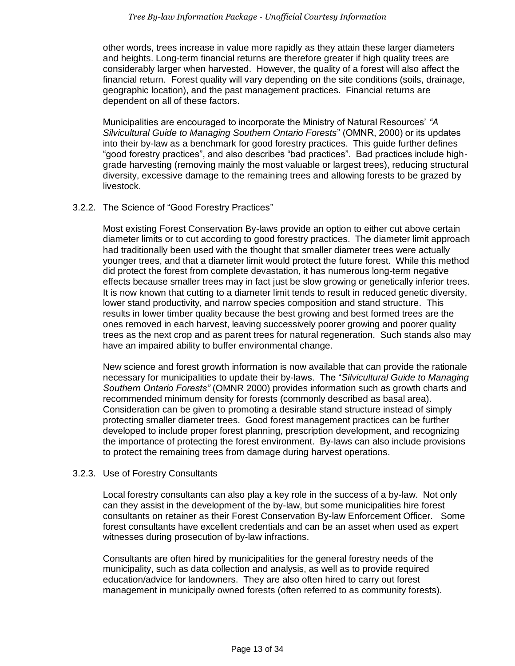other words, trees increase in value more rapidly as they attain these larger diameters and heights. Long-term financial returns are therefore greater if high quality trees are considerably larger when harvested. However, the quality of a forest will also affect the financial return. Forest quality will vary depending on the site conditions (soils, drainage, geographic location), and the past management practices. Financial returns are dependent on all of these factors.

Municipalities are encouraged to incorporate the Ministry of Natural Resources' *"A Silvicultural Guide to Managing Southern Ontario Forests*" (OMNR, 2000) or its updates into their by-law as a benchmark for good forestry practices. This guide further defines "good forestry practices", and also describes "bad practices". Bad practices include highgrade harvesting (removing mainly the most valuable or largest trees), reducing structural diversity, excessive damage to the remaining trees and allowing forests to be grazed by livestock.

#### 3.2.2. The Science of "Good Forestry Practices"

Most existing Forest Conservation By-laws provide an option to either cut above certain diameter limits or to cut according to good forestry practices. The diameter limit approach had traditionally been used with the thought that smaller diameter trees were actually younger trees, and that a diameter limit would protect the future forest. While this method did protect the forest from complete devastation, it has numerous long-term negative effects because smaller trees may in fact just be slow growing or genetically inferior trees. It is now known that cutting to a diameter limit tends to result in reduced genetic diversity, lower stand productivity, and narrow species composition and stand structure. This results in lower timber quality because the best growing and best formed trees are the ones removed in each harvest, leaving successively poorer growing and poorer quality trees as the next crop and as parent trees for natural regeneration. Such stands also may have an impaired ability to buffer environmental change.

New science and forest growth information is now available that can provide the rationale necessary for municipalities to update their by-laws. The "*Silvicultural Guide to Managing Southern Ontario Forests"* (OMNR 2000) provides information such as growth charts and recommended minimum density for forests (commonly described as basal area). Consideration can be given to promoting a desirable stand structure instead of simply protecting smaller diameter trees. Good forest management practices can be further developed to include proper forest planning, prescription development, and recognizing the importance of protecting the forest environment. By-laws can also include provisions to protect the remaining trees from damage during harvest operations.

#### 3.2.3. Use of Forestry Consultants

Local forestry consultants can also play a key role in the success of a by-law. Not only can they assist in the development of the by-law, but some municipalities hire forest consultants on retainer as their Forest Conservation By-law Enforcement Officer. Some forest consultants have excellent credentials and can be an asset when used as expert witnesses during prosecution of by-law infractions.

Consultants are often hired by municipalities for the general forestry needs of the municipality, such as data collection and analysis, as well as to provide required education/advice for landowners. They are also often hired to carry out forest management in municipally owned forests (often referred to as community forests).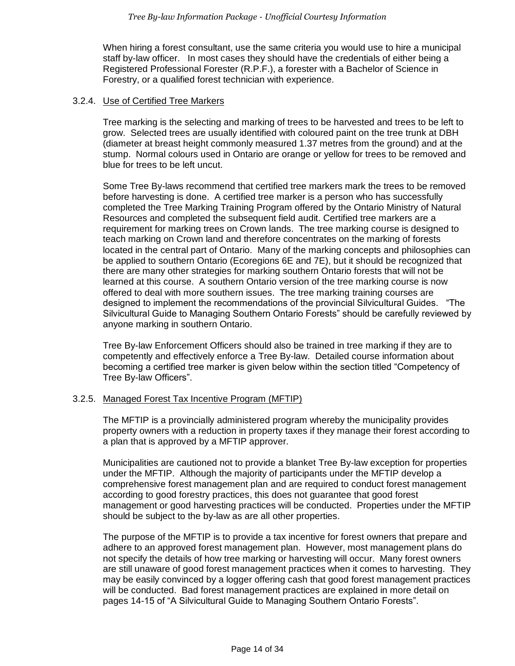When hiring a forest consultant, use the same criteria you would use to hire a municipal staff by-law officer. In most cases they should have the credentials of either being a Registered Professional Forester (R.P.F.), a forester with a Bachelor of Science in Forestry, or a qualified forest technician with experience.

#### 3.2.4. Use of Certified Tree Markers

Tree marking is the selecting and marking of trees to be harvested and trees to be left to grow. Selected trees are usually identified with coloured paint on the tree trunk at DBH (diameter at breast height commonly measured 1.37 metres from the ground) and at the stump. Normal colours used in Ontario are orange or yellow for trees to be removed and blue for trees to be left uncut.

Some Tree By-laws recommend that certified tree markers mark the trees to be removed before harvesting is done. A certified tree marker is a person who has successfully completed the Tree Marking Training Program offered by the Ontario Ministry of Natural Resources and completed the subsequent field audit. Certified tree markers are a requirement for marking trees on Crown lands. The tree marking course is designed to teach marking on Crown land and therefore concentrates on the marking of forests located in the central part of Ontario. Many of the marking concepts and philosophies can be applied to southern Ontario (Ecoregions 6E and 7E), but it should be recognized that there are many other strategies for marking southern Ontario forests that will not be learned at this course. A southern Ontario version of the tree marking course is now offered to deal with more southern issues. The tree marking training courses are designed to implement the recommendations of the provincial Silvicultural Guides. "The Silvicultural Guide to Managing Southern Ontario Forests" should be carefully reviewed by anyone marking in southern Ontario.

Tree By-law Enforcement Officers should also be trained in tree marking if they are to competently and effectively enforce a Tree By-law. Detailed course information about becoming a certified tree marker is given below within the section titled "Competency of Tree By-law Officers".

## 3.2.5. Managed Forest Tax Incentive Program (MFTIP)

The MFTIP is a provincially administered program whereby the municipality provides property owners with a reduction in property taxes if they manage their forest according to a plan that is approved by a MFTIP approver.

Municipalities are cautioned not to provide a blanket Tree By-law exception for properties under the MFTIP. Although the majority of participants under the MFTIP develop a comprehensive forest management plan and are required to conduct forest management according to good forestry practices, this does not guarantee that good forest management or good harvesting practices will be conducted. Properties under the MFTIP should be subject to the by-law as are all other properties.

The purpose of the MFTIP is to provide a tax incentive for forest owners that prepare and adhere to an approved forest management plan. However, most management plans do not specify the details of how tree marking or harvesting will occur. Many forest owners are still unaware of good forest management practices when it comes to harvesting. They may be easily convinced by a logger offering cash that good forest management practices will be conducted. Bad forest management practices are explained in more detail on pages 14-15 of "A Silvicultural Guide to Managing Southern Ontario Forests".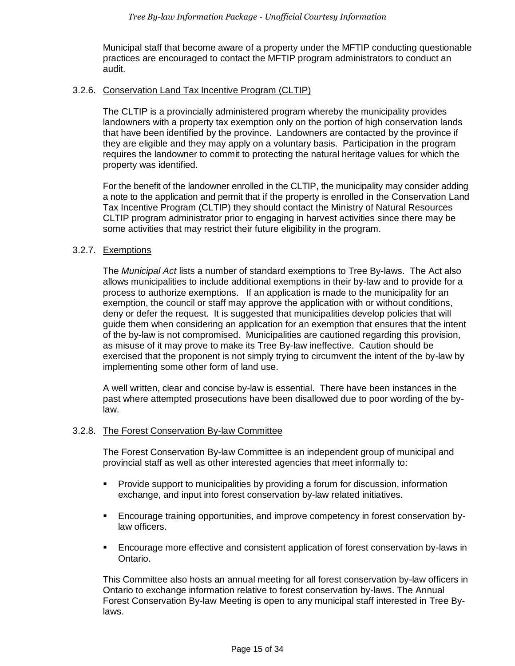Municipal staff that become aware of a property under the MFTIP conducting questionable practices are encouraged to contact the MFTIP program administrators to conduct an audit.

#### 3.2.6. Conservation Land Tax Incentive Program (CLTIP)

The CLTIP is a provincially administered program whereby the municipality provides landowners with a property tax exemption only on the portion of high conservation lands that have been identified by the province. Landowners are contacted by the province if they are eligible and they may apply on a voluntary basis. Participation in the program requires the landowner to commit to protecting the natural heritage values for which the property was identified.

For the benefit of the landowner enrolled in the CLTIP, the municipality may consider adding a note to the application and permit that if the property is enrolled in the Conservation Land Tax Incentive Program (CLTIP) they should contact the Ministry of Natural Resources CLTIP program administrator prior to engaging in harvest activities since there may be some activities that may restrict their future eligibility in the program.

## 3.2.7. Exemptions

The *Municipal Act* lists a number of standard exemptions to Tree By-laws. The Act also allows municipalities to include additional exemptions in their by-law and to provide for a process to authorize exemptions. If an application is made to the municipality for an exemption, the council or staff may approve the application with or without conditions, deny or defer the request. It is suggested that municipalities develop policies that will guide them when considering an application for an exemption that ensures that the intent of the by-law is not compromised. Municipalities are cautioned regarding this provision, as misuse of it may prove to make its Tree By-law ineffective. Caution should be exercised that the proponent is not simply trying to circumvent the intent of the by-law by implementing some other form of land use.

A well written, clear and concise by-law is essential. There have been instances in the past where attempted prosecutions have been disallowed due to poor wording of the bylaw.

## 3.2.8. The Forest Conservation By-law Committee

The Forest Conservation By-law Committee is an independent group of municipal and provincial staff as well as other interested agencies that meet informally to:

- Provide support to municipalities by providing a forum for discussion, information exchange, and input into forest conservation by-law related initiatives.
- Encourage training opportunities, and improve competency in forest conservation bylaw officers.
- Encourage more effective and consistent application of forest conservation by-laws in Ontario.

This Committee also hosts an annual meeting for all forest conservation by-law officers in Ontario to exchange information relative to forest conservation by-laws. The Annual Forest Conservation By-law Meeting is open to any municipal staff interested in Tree Bylaws.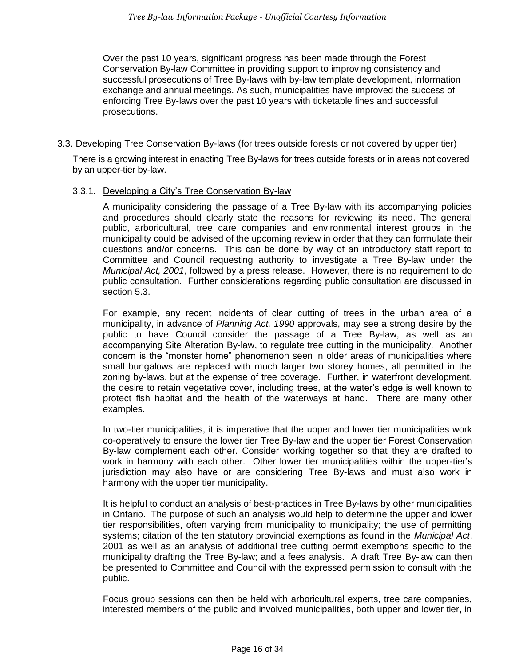Over the past 10 years, significant progress has been made through the Forest Conservation By-law Committee in providing support to improving consistency and successful prosecutions of Tree By-laws with by-law template development, information exchange and annual meetings. As such, municipalities have improved the success of enforcing Tree By-laws over the past 10 years with ticketable fines and successful prosecutions.

3.3. Developing Tree Conservation By-laws (for trees outside forests or not covered by upper tier)

There is a growing interest in enacting Tree By-laws for trees outside forests or in areas not covered by an upper-tier by-law.

#### 3.3.1. Developing a City's Tree Conservation By-law

A municipality considering the passage of a Tree By-law with its accompanying policies and procedures should clearly state the reasons for reviewing its need. The general public, arboricultural, tree care companies and environmental interest groups in the municipality could be advised of the upcoming review in order that they can formulate their questions and/or concerns. This can be done by way of an introductory staff report to Committee and Council requesting authority to investigate a Tree By-law under the *Municipal Act, 2001*, followed by a press release. However, there is no requirement to do public consultation. Further considerations regarding public consultation are discussed in section 5.3.

For example, any recent incidents of clear cutting of trees in the urban area of a municipality, in advance of *Planning Act, 1990* approvals, may see a strong desire by the public to have Council consider the passage of a Tree By-law, as well as an accompanying Site Alteration By-law, to regulate tree cutting in the municipality. Another concern is the "monster home" phenomenon seen in older areas of municipalities where small bungalows are replaced with much larger two storey homes, all permitted in the zoning by-laws, but at the expense of tree coverage. Further, in waterfront development, the desire to retain vegetative cover, including trees, at the water's edge is well known to protect fish habitat and the health of the waterways at hand. There are many other examples.

In two-tier municipalities, it is imperative that the upper and lower tier municipalities work co-operatively to ensure the lower tier Tree By-law and the upper tier Forest Conservation By-law complement each other. Consider working together so that they are drafted to work in harmony with each other. Other lower tier municipalities within the upper-tier's jurisdiction may also have or are considering Tree By-laws and must also work in harmony with the upper tier municipality.

It is helpful to conduct an analysis of best-practices in Tree By-laws by other municipalities in Ontario. The purpose of such an analysis would help to determine the upper and lower tier responsibilities, often varying from municipality to municipality; the use of permitting systems; citation of the ten statutory provincial exemptions as found in the *Municipal Act*, 2001 as well as an analysis of additional tree cutting permit exemptions specific to the municipality drafting the Tree By-law; and a fees analysis. A draft Tree By-law can then be presented to Committee and Council with the expressed permission to consult with the public.

Focus group sessions can then be held with arboricultural experts, tree care companies, interested members of the public and involved municipalities, both upper and lower tier, in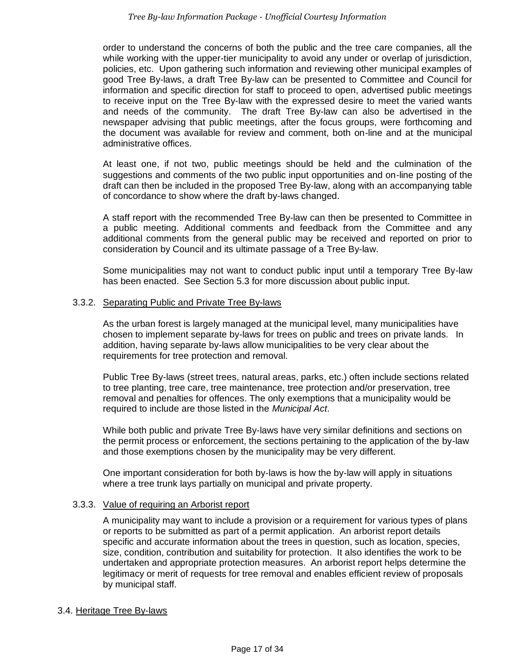order to understand the concerns of both the public and the tree care companies, all the while working with the upper-tier municipality to avoid any under or overlap of jurisdiction, policies, etc. Upon gathering such information and reviewing other municipal examples of good Tree By-laws, a draft Tree By-law can be presented to Committee and Council for information and specific direction for staff to proceed to open, advertised public meetings to receive input on the Tree By-law with the expressed desire to meet the varied wants and needs of the community. The draft Tree By-law can also be advertised in the newspaper advising that public meetings, after the focus groups, were forthcoming and the document was available for review and comment, both on-line and at the municipal administrative offices.

At least one, if not two, public meetings should be held and the culmination of the suggestions and comments of the two public input opportunities and on-line posting of the draft can then be included in the proposed Tree By-law, along with an accompanying table of concordance to show where the draft by-laws changed.

A staff report with the recommended Tree By-law can then be presented to Committee in a public meeting. Additional comments and feedback from the Committee and any additional comments from the general public may be received and reported on prior to consideration by Council and its ultimate passage of a Tree By-law.

Some municipalities may not want to conduct public input until a temporary Tree By-law has been enacted. See Section 5.3 for more discussion about public input.

#### 3.3.2. Separating Public and Private Tree By-laws

As the urban forest is largely managed at the municipal level, many municipalities have chosen to implement separate by-laws for trees on public and trees on private lands. In addition, having separate by-laws allow municipalities to be very clear about the requirements for tree protection and removal.

Public Tree By-laws (street trees, natural areas, parks, etc.) often include sections related to tree planting, tree care, tree maintenance, tree protection and/or preservation, tree removal and penalties for offences. The only exemptions that a municipality would be required to include are those listed in the *Municipal Act*.

While both public and private Tree By-laws have very similar definitions and sections on the permit process or enforcement, the sections pertaining to the application of the by-law and those exemptions chosen by the municipality may be very different.

One important consideration for both by-laws is how the by-law will apply in situations where a tree trunk lays partially on municipal and private property.

#### 3.3.3. Value of requiring an Arborist report

A municipality may want to include a provision or a requirement for various types of plans or reports to be submitted as part of a permit application. An arborist report details specific and accurate information about the trees in question, such as location, species, size, condition, contribution and suitability for protection. It also identifies the work to be undertaken and appropriate protection measures. An arborist report helps determine the legitimacy or merit of requests for tree removal and enables efficient review of proposals by municipal staff.

#### 3.4. Heritage Tree By-laws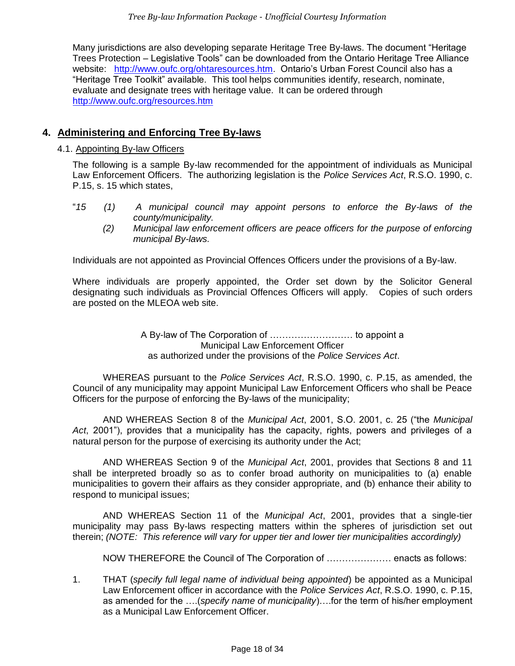Many jurisdictions are also developing separate Heritage Tree By-laws. The document "Heritage Trees Protection – Legislative Tools" can be downloaded from the Ontario Heritage Tree Alliance website: [http://www.oufc.org/ohtaresources.htm.](http://www.oufc.org/ohtaresources.htm) Ontario's Urban Forest Council also has a "Heritage Tree Toolkit" available. This tool helps communities identify, research, nominate, evaluate and designate trees with heritage value. It can be ordered through <http://www.oufc.org/resources.htm>

## <span id="page-17-0"></span>**4. Administering and Enforcing Tree By-laws**

#### 4.1. Appointing By-law Officers

The following is a sample By-law recommended for the appointment of individuals as Municipal Law Enforcement Officers. The authorizing legislation is the *Police Services Act*, R.S.O. 1990, c. P.15, s. 15 which states,

- "*15 (1) A municipal council may appoint persons to enforce the By-laws of the county/municipality.* 
	- *(2) Municipal law enforcement officers are peace officers for the purpose of enforcing municipal By-laws.*

Individuals are not appointed as Provincial Offences Officers under the provisions of a By-law.

Where individuals are properly appointed, the Order set down by the Solicitor General designating such individuals as Provincial Offences Officers will apply. Copies of such orders are posted on the MLEOA web site.

> A By-law of The Corporation of ……………………… to appoint a Municipal Law Enforcement Officer as authorized under the provisions of the *Police Services Act*.

WHEREAS pursuant to the *Police Services Act*, R.S.O. 1990, c. P.15, as amended, the Council of any municipality may appoint Municipal Law Enforcement Officers who shall be Peace Officers for the purpose of enforcing the By-laws of the municipality;

AND WHEREAS Section 8 of the *Municipal Act*, 2001, S.O. 2001, c. 25 ("the *Municipal Act*, 2001"), provides that a municipality has the capacity, rights, powers and privileges of a natural person for the purpose of exercising its authority under the Act;

AND WHEREAS Section 9 of the *Municipal Act*, 2001, provides that Sections 8 and 11 shall be interpreted broadly so as to confer broad authority on municipalities to (a) enable municipalities to govern their affairs as they consider appropriate, and (b) enhance their ability to respond to municipal issues;

AND WHEREAS Section 11 of the *Municipal Act*, 2001, provides that a single-tier municipality may pass By-laws respecting matters within the spheres of jurisdiction set out therein; *(NOTE: This reference will vary for upper tier and lower tier municipalities accordingly)*

NOW THEREFORE the Council of The Corporation of ………………… enacts as follows:

1. THAT (*specify full legal name of individual being appointed*) be appointed as a Municipal Law Enforcement officer in accordance with the *Police Services Act*, R.S.O. 1990, c. P.15, as amended for the ….(*specify name of municipality*)….for the term of his/her employment as a Municipal Law Enforcement Officer.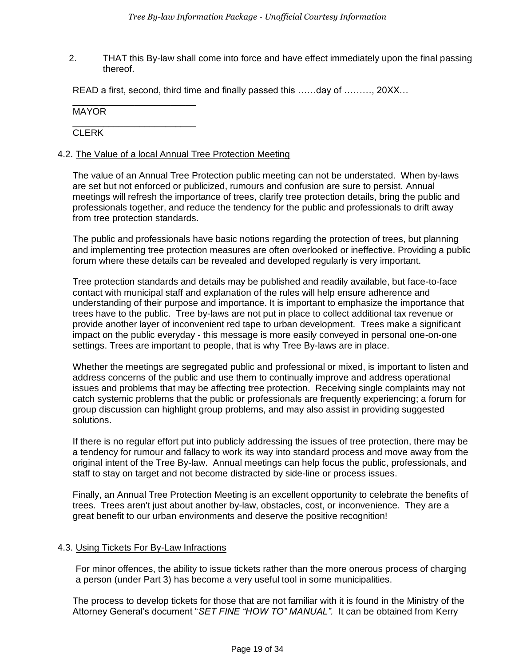2. THAT this By-law shall come into force and have effect immediately upon the final passing thereof.

READ a first, second, third time and finally passed this ……day of ………, 20XX…

MAYOR

\_\_\_\_\_\_\_\_\_\_\_\_\_\_\_\_\_\_\_\_\_\_\_\_

\_\_\_\_\_\_\_\_\_\_\_\_\_\_\_\_\_\_\_\_\_\_\_\_ **CLERK** 

#### 4.2. The Value of a local Annual Tree Protection Meeting

The value of an Annual Tree Protection public meeting can not be understated. When by-laws are set but not enforced or publicized, rumours and confusion are sure to persist. Annual meetings will refresh the importance of trees, clarify tree protection details, bring the public and professionals together, and reduce the tendency for the public and professionals to drift away from tree protection standards.

The public and professionals have basic notions regarding the protection of trees, but planning and implementing tree protection measures are often overlooked or ineffective. Providing a public forum where these details can be revealed and developed regularly is very important.

Tree protection standards and details may be published and readily available, but face-to-face contact with municipal staff and explanation of the rules will help ensure adherence and understanding of their purpose and importance. It is important to emphasize the importance that trees have to the public. Tree by-laws are not put in place to collect additional tax revenue or provide another layer of inconvenient red tape to urban development. Trees make a significant impact on the public everyday - this message is more easily conveyed in personal one-on-one settings. Trees are important to people, that is why Tree By-laws are in place.

Whether the meetings are segregated public and professional or mixed, is important to listen and address concerns of the public and use them to continually improve and address operational issues and problems that may be affecting tree protection. Receiving single complaints may not catch systemic problems that the public or professionals are frequently experiencing; a forum for group discussion can highlight group problems, and may also assist in providing suggested solutions.

If there is no regular effort put into publicly addressing the issues of tree protection, there may be a tendency for rumour and fallacy to work its way into standard process and move away from the original intent of the Tree By-law. Annual meetings can help focus the public, professionals, and staff to stay on target and not become distracted by side-line or process issues.

Finally, an Annual Tree Protection Meeting is an excellent opportunity to celebrate the benefits of trees. Trees aren't just about another by-law, obstacles, cost, or inconvenience. They are a great benefit to our urban environments and deserve the positive recognition!

#### 4.3. Using Tickets For By-Law Infractions

For minor offences, the ability to issue tickets rather than the more onerous process of charging a person (under Part 3) has become a very useful tool in some municipalities.

The process to develop tickets for those that are not familiar with it is found in the Ministry of the Attorney General's document "*SET FINE "HOW TO" MANUAL".* It can be obtained from Kerry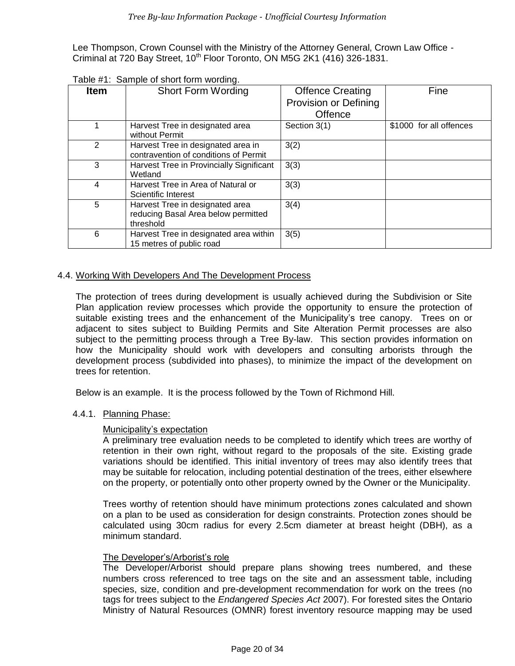Lee Thompson, Crown Counsel with the Ministry of the Attorney General, Crown Law Office - Criminal at 720 Bay Street,  $10^{th}$  Floor Toronto, ON M5G 2K1 (416) 326-1831.

| <b>Item</b> | <b>Short Form Wording</b>                                                           | <b>Offence Creating</b><br>Provision or Defining<br><b>Offence</b> | Fine                    |
|-------------|-------------------------------------------------------------------------------------|--------------------------------------------------------------------|-------------------------|
|             | Harvest Tree in designated area<br>without Permit                                   | Section 3(1)                                                       | \$1000 for all offences |
| 2           | Harvest Tree in designated area in<br>contravention of conditions of Permit         | 3(2)                                                               |                         |
| 3           | Harvest Tree in Provincially Significant<br>Wetland                                 | 3(3)                                                               |                         |
| 4           | Harvest Tree in Area of Natural or<br>Scientific Interest                           | 3(3)                                                               |                         |
| 5           | Harvest Tree in designated area<br>reducing Basal Area below permitted<br>threshold | 3(4)                                                               |                         |
| 6           | Harvest Tree in designated area within<br>15 metres of public road                  | 3(5)                                                               |                         |

Table #1: Sample of short form wording.

#### 4.4. Working With Developers And The Development Process

The protection of trees during development is usually achieved during the Subdivision or Site Plan application review processes which provide the opportunity to ensure the protection of suitable existing trees and the enhancement of the Municipality's tree canopy. Trees on or adjacent to sites subject to Building Permits and Site Alteration Permit processes are also subject to the permitting process through a Tree By-law. This section provides information on how the Municipality should work with developers and consulting arborists through the development process (subdivided into phases), to minimize the impact of the development on trees for retention.

Below is an example. It is the process followed by the Town of Richmond Hill.

#### 4.4.1. Planning Phase:

#### Municipality's expectation

A preliminary tree evaluation needs to be completed to identify which trees are worthy of retention in their own right, without regard to the proposals of the site. Existing grade variations should be identified. This initial inventory of trees may also identify trees that may be suitable for relocation, including potential destination of the trees, either elsewhere on the property, or potentially onto other property owned by the Owner or the Municipality.

Trees worthy of retention should have minimum protections zones calculated and shown on a plan to be used as consideration for design constraints. Protection zones should be calculated using 30cm radius for every 2.5cm diameter at breast height (DBH), as a minimum standard.

## The Developer's/Arborist's role

The Developer/Arborist should prepare plans showing trees numbered, and these numbers cross referenced to tree tags on the site and an assessment table, including species, size, condition and pre-development recommendation for work on the trees (no tags for trees subject to the *Endangered Species Act* 2007). For forested sites the Ontario Ministry of Natural Resources (OMNR) forest inventory resource mapping may be used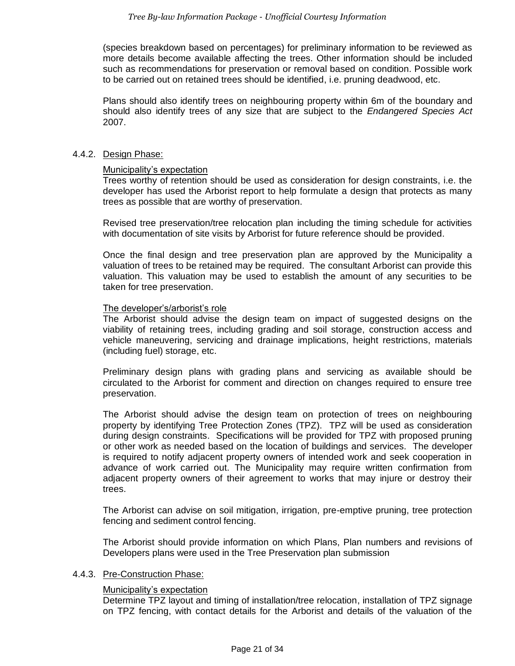(species breakdown based on percentages) for preliminary information to be reviewed as more details become available affecting the trees. Other information should be included such as recommendations for preservation or removal based on condition. Possible work to be carried out on retained trees should be identified, i.e. pruning deadwood, etc.

Plans should also identify trees on neighbouring property within 6m of the boundary and should also identify trees of any size that are subject to the *Endangered Species Act* 2007.

#### 4.4.2. Design Phase:

#### Municipality's expectation

Trees worthy of retention should be used as consideration for design constraints, i.e. the developer has used the Arborist report to help formulate a design that protects as many trees as possible that are worthy of preservation.

Revised tree preservation/tree relocation plan including the timing schedule for activities with documentation of site visits by Arborist for future reference should be provided.

Once the final design and tree preservation plan are approved by the Municipality a valuation of trees to be retained may be required. The consultant Arborist can provide this valuation. This valuation may be used to establish the amount of any securities to be taken for tree preservation.

#### The developer's/arborist's role

The Arborist should advise the design team on impact of suggested designs on the viability of retaining trees, including grading and soil storage, construction access and vehicle maneuvering, servicing and drainage implications, height restrictions, materials (including fuel) storage, etc.

Preliminary design plans with grading plans and servicing as available should be circulated to the Arborist for comment and direction on changes required to ensure tree preservation.

The Arborist should advise the design team on protection of trees on neighbouring property by identifying Tree Protection Zones (TPZ). TPZ will be used as consideration during design constraints. Specifications will be provided for TPZ with proposed pruning or other work as needed based on the location of buildings and services. The developer is required to notify adjacent property owners of intended work and seek cooperation in advance of work carried out. The Municipality may require written confirmation from adjacent property owners of their agreement to works that may injure or destroy their trees.

The Arborist can advise on soil mitigation, irrigation, pre-emptive pruning, tree protection fencing and sediment control fencing.

The Arborist should provide information on which Plans, Plan numbers and revisions of Developers plans were used in the Tree Preservation plan submission

#### 4.4.3. Pre-Construction Phase:

#### Municipality's expectation

Determine TPZ layout and timing of installation/tree relocation, installation of TPZ signage on TPZ fencing, with contact details for the Arborist and details of the valuation of the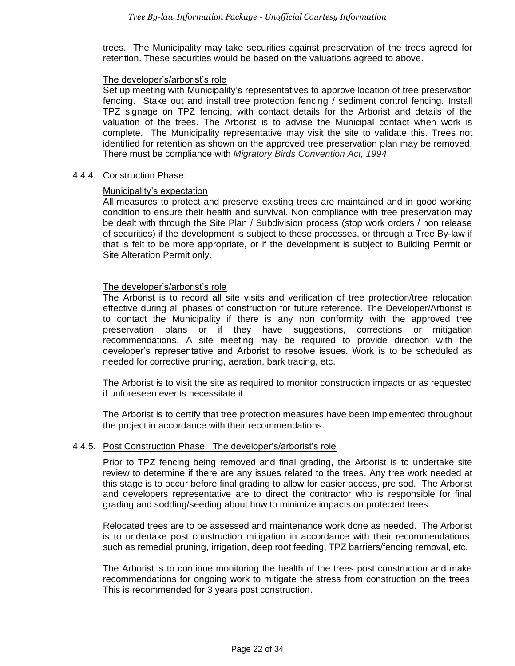trees. The Municipality may take securities against preservation of the trees agreed for retention. These securities would be based on the valuations agreed to above.

#### The developer's/arborist's role

Set up meeting with Municipality's representatives to approve location of tree preservation fencing. Stake out and install tree protection fencing / sediment control fencing. Install TPZ signage on TPZ fencing, with contact details for the Arborist and details of the valuation of the trees. The Arborist is to advise the Municipal contact when work is complete. The Municipality representative may visit the site to validate this. Trees not identified for retention as shown on the approved tree preservation plan may be removed. There must be compliance with *Migratory Birds Convention Act, 1994*.

#### 4.4.4. Construction Phase:

#### Municipality's expectation

All measures to protect and preserve existing trees are maintained and in good working condition to ensure their health and survival. Non compliance with tree preservation may be dealt with through the Site Plan / Subdivision process (stop work orders / non release of securities) if the development is subject to those processes, or through a Tree By-law if that is felt to be more appropriate, or if the development is subject to Building Permit or Site Alteration Permit only.

#### The developer's/arborist's role

The Arborist is to record all site visits and verification of tree protection/tree relocation effective during all phases of construction for future reference. The Developer/Arborist is to contact the Municipality if there is any non conformity with the approved tree preservation plans or if they have suggestions, corrections or mitigation recommendations. A site meeting may be required to provide direction with the developer's representative and Arborist to resolve issues. Work is to be scheduled as needed for corrective pruning, aeration, bark tracing, etc.

The Arborist is to visit the site as required to monitor construction impacts or as requested if unforeseen events necessitate it.

The Arborist is to certify that tree protection measures have been implemented throughout the project in accordance with their recommendations.

#### 4.4.5. Post Construction Phase: The developer's/arborist's role

Prior to TPZ fencing being removed and final grading, the Arborist is to undertake site review to determine if there are any issues related to the trees. Any tree work needed at this stage is to occur before final grading to allow for easier access, pre sod. The Arborist and developers representative are to direct the contractor who is responsible for final grading and sodding/seeding about how to minimize impacts on protected trees.

Relocated trees are to be assessed and maintenance work done as needed. The Arborist is to undertake post construction mitigation in accordance with their recommendations, such as remedial pruning, irrigation, deep root feeding, TPZ barriers/fencing removal, etc.

The Arborist is to continue monitoring the health of the trees post construction and make recommendations for ongoing work to mitigate the stress from construction on the trees. This is recommended for 3 years post construction.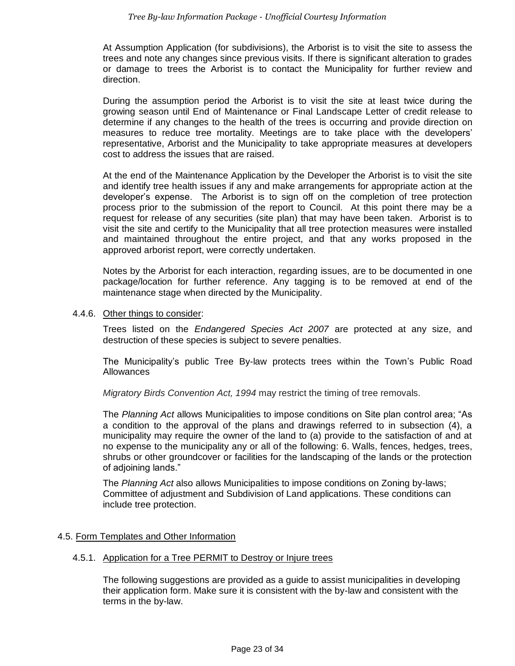At Assumption Application (for subdivisions), the Arborist is to visit the site to assess the trees and note any changes since previous visits. If there is significant alteration to grades or damage to trees the Arborist is to contact the Municipality for further review and direction.

During the assumption period the Arborist is to visit the site at least twice during the growing season until End of Maintenance or Final Landscape Letter of credit release to determine if any changes to the health of the trees is occurring and provide direction on measures to reduce tree mortality. Meetings are to take place with the developers' representative, Arborist and the Municipality to take appropriate measures at developers cost to address the issues that are raised.

At the end of the Maintenance Application by the Developer the Arborist is to visit the site and identify tree health issues if any and make arrangements for appropriate action at the developer's expense. The Arborist is to sign off on the completion of tree protection process prior to the submission of the report to Council. At this point there may be a request for release of any securities (site plan) that may have been taken. Arborist is to visit the site and certify to the Municipality that all tree protection measures were installed and maintained throughout the entire project, and that any works proposed in the approved arborist report, were correctly undertaken.

Notes by the Arborist for each interaction, regarding issues, are to be documented in one package/location for further reference. Any tagging is to be removed at end of the maintenance stage when directed by the Municipality.

#### 4.4.6. Other things to consider:

Trees listed on the *Endangered Species Act 2007* are protected at any size, and destruction of these species is subject to severe penalties.

The Municipality's public Tree By-law protects trees within the Town's Public Road Allowances

*Migratory Birds Convention Act, 1994* may restrict the timing of tree removals.

The *Planning Act* allows Municipalities to impose conditions on Site plan control area; "As a condition to the approval of the plans and drawings referred to in subsection (4), a municipality may require the owner of the land to (a) provide to the satisfaction of and at no expense to the municipality any or all of the following: 6. Walls, fences, hedges, trees, shrubs or other groundcover or facilities for the landscaping of the lands or the protection of adjoining lands."

The *Planning Act* also allows Municipalities to impose conditions on Zoning by-laws; Committee of adjustment and Subdivision of Land applications. These conditions can include tree protection.

## 4.5. Form Templates and Other Information

#### 4.5.1. Application for a Tree PERMIT to Destroy or Injure trees

The following suggestions are provided as a guide to assist municipalities in developing their application form. Make sure it is consistent with the by-law and consistent with the terms in the by-law.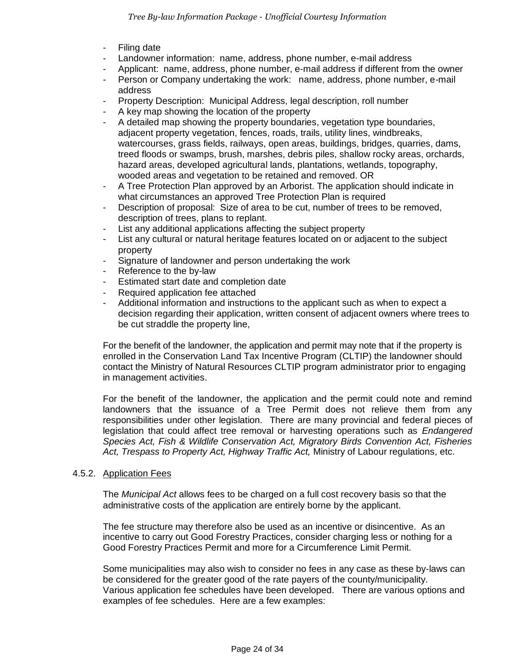- **Filing date**
- Landowner information: name, address, phone number, e-mail address
- Applicant: name, address, phone number, e-mail address if different from the owner
- Person or Company undertaking the work: name, address, phone number, e-mail address
- Property Description: Municipal Address, legal description, roll number
- A key map showing the location of the property
- A detailed map showing the property boundaries, vegetation type boundaries, adjacent property vegetation, fences, roads, trails, utility lines, windbreaks, watercourses, grass fields, railways, open areas, buildings, bridges, quarries, dams, treed floods or swamps, brush, marshes, debris piles, shallow rocky areas, orchards, hazard areas, developed agricultural lands, plantations, wetlands, topography, wooded areas and vegetation to be retained and removed. OR
- A Tree Protection Plan approved by an Arborist. The application should indicate in what circumstances an approved Tree Protection Plan is required
- Description of proposal: Size of area to be cut, number of trees to be removed, description of trees, plans to replant.
- List any additional applications affecting the subject property
- List any cultural or natural heritage features located on or adjacent to the subject property
- Signature of landowner and person undertaking the work
- Reference to the by-law
- Estimated start date and completion date
- Required application fee attached
- Additional information and instructions to the applicant such as when to expect a decision regarding their application, written consent of adjacent owners where trees to be cut straddle the property line,

For the benefit of the landowner, the application and permit may note that if the property is enrolled in the Conservation Land Tax Incentive Program (CLTIP) the landowner should contact the Ministry of Natural Resources CLTIP program administrator prior to engaging in management activities.

For the benefit of the landowner, the application and the permit could note and remind landowners that the issuance of a Tree Permit does not relieve them from any responsibilities under other legislation. There are many provincial and federal pieces of legislation that could affect tree removal or harvesting operations such as *Endangered Species Act, Fish & Wildlife Conservation Act, Migratory Birds Convention Act, Fisheries Act, Trespass to Property Act, Highway Traffic Act,* Ministry of Labour regulations, etc.

#### 4.5.2. Application Fees

The *Municipal Act* allows fees to be charged on a full cost recovery basis so that the administrative costs of the application are entirely borne by the applicant.

The fee structure may therefore also be used as an incentive or disincentive. As an incentive to carry out Good Forestry Practices, consider charging less or nothing for a Good Forestry Practices Permit and more for a Circumference Limit Permit.

Some municipalities may also wish to consider no fees in any case as these by-laws can be considered for the greater good of the rate payers of the county/municipality. Various application fee schedules have been developed. There are various options and examples of fee schedules. Here are a few examples: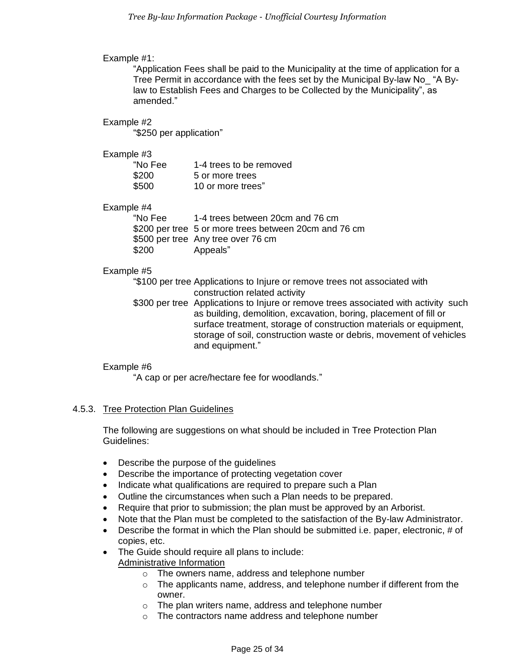#### Example #1:

"Application Fees shall be paid to the Municipality at the time of application for a Tree Permit in accordance with the fees set by the Municipal By-law No\_ "A Bylaw to Establish Fees and Charges to be Collected by the Municipality", as amended."

#### Example #2

"\$250 per application"

#### Example #3

| "No Fee | 1-4 trees to be removed |
|---------|-------------------------|
| \$200   | 5 or more trees         |
| \$500   | 10 or more trees"       |

## Example #4

"No Fee 1-4 trees between 20cm and 76 cm \$200 per tree 5 or more trees between 20cm and 76 cm \$500 per tree Any tree over 76 cm \$200 Appeals"

#### Example #5

"\$100 per tree Applications to Injure or remove trees not associated with construction related activity

\$300 per tree Applications to Injure or remove trees associated with activity such as building, demolition, excavation, boring, placement of fill or surface treatment, storage of construction materials or equipment, storage of soil, construction waste or debris, movement of vehicles and equipment."

## Example #6

"A cap or per acre/hectare fee for woodlands."

## 4.5.3. Tree Protection Plan Guidelines

The following are suggestions on what should be included in Tree Protection Plan Guidelines:

- Describe the purpose of the guidelines
- Describe the importance of protecting vegetation cover
- Indicate what qualifications are required to prepare such a Plan
- Outline the circumstances when such a Plan needs to be prepared.
- Require that prior to submission; the plan must be approved by an Arborist.
- Note that the Plan must be completed to the satisfaction of the By-law Administrator.
- Describe the format in which the Plan should be submitted i.e. paper, electronic, # of copies, etc.
- The Guide should require all plans to include:
	- Administrative Information
		- o The owners name, address and telephone number
		- $\circ$  The applicants name, address, and telephone number if different from the owner.
		- o The plan writers name, address and telephone number
		- o The contractors name address and telephone number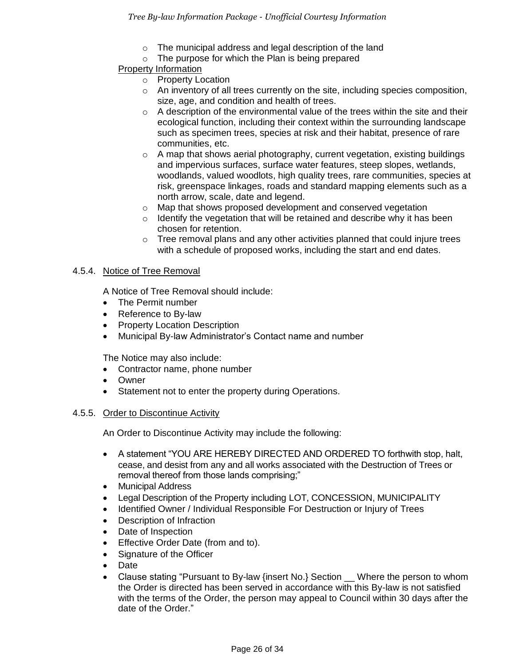- o The municipal address and legal description of the land
- $\circ$  The purpose for which the Plan is being prepared

## Property Information

- o Property Location
- $\circ$  An inventory of all trees currently on the site, including species composition, size, age, and condition and health of trees.
- $\circ$  A description of the environmental value of the trees within the site and their ecological function, including their context within the surrounding landscape such as specimen trees, species at risk and their habitat, presence of rare communities, etc.
- $\circ$  A map that shows aerial photography, current vegetation, existing buildings and impervious surfaces, surface water features, steep slopes, wetlands, woodlands, valued woodlots, high quality trees, rare communities, species at risk, greenspace linkages, roads and standard mapping elements such as a north arrow, scale, date and legend.
- o Map that shows proposed development and conserved vegetation
- $\circ$  Identify the vegetation that will be retained and describe why it has been chosen for retention.
- $\circ$  Tree removal plans and any other activities planned that could injure trees with a schedule of proposed works, including the start and end dates.

## 4.5.4. Notice of Tree Removal

A Notice of Tree Removal should include:

- The Permit number
- Reference to By-law
- Property Location Description
- Municipal By-law Administrator's Contact name and number

The Notice may also include:

- Contractor name, phone number
- Owner
- Statement not to enter the property during Operations.

## 4.5.5. Order to Discontinue Activity

An Order to Discontinue Activity may include the following:

- A statement "YOU ARE HEREBY DIRECTED AND ORDERED TO forthwith stop, halt, cease, and desist from any and all works associated with the Destruction of Trees or removal thereof from those lands comprising;"
- Municipal Address
- Legal Description of the Property including LOT, CONCESSION, MUNICIPALITY
- Identified Owner / Individual Responsible For Destruction or Injury of Trees
- Description of Infraction
- Date of Inspection
- **•** Effective Order Date (from and to).
- Signature of the Officer
- Date
- Clause stating "Pursuant to By-law {insert No.} Section \_\_ Where the person to whom the Order is directed has been served in accordance with this By-law is not satisfied with the terms of the Order, the person may appeal to Council within 30 days after the date of the Order."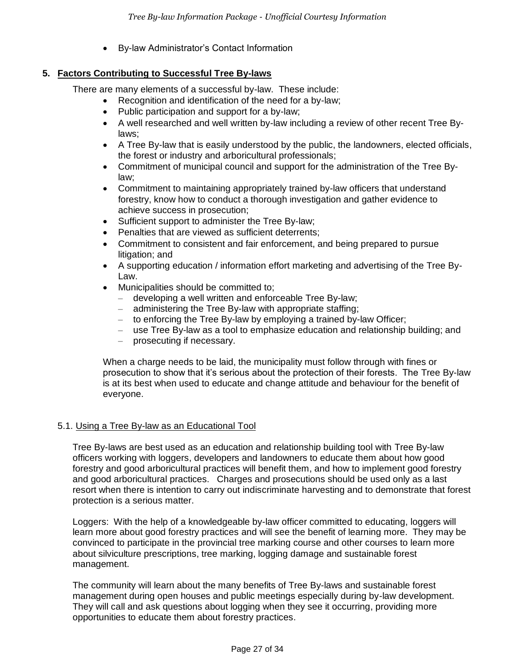By-law Administrator's Contact Information

## <span id="page-26-0"></span>**5. Factors Contributing to Successful Tree By-laws**

There are many elements of a successful by-law. These include:

- Recognition and identification of the need for a by-law;
- Public participation and support for a by-law;
- A well researched and well written by-law including a review of other recent Tree Bylaws;
- A Tree By-law that is easily understood by the public, the landowners, elected officials, the forest or industry and arboricultural professionals;
- Commitment of municipal council and support for the administration of the Tree Bylaw;
- Commitment to maintaining appropriately trained by-law officers that understand forestry, know how to conduct a thorough investigation and gather evidence to achieve success in prosecution;
- Sufficient support to administer the Tree By-law;
- Penalties that are viewed as sufficient deterrents;
- Commitment to consistent and fair enforcement, and being prepared to pursue litigation; and
- A supporting education / information effort marketing and advertising of the Tree By-Law.
- Municipalities should be committed to;
	- developing a well written and enforceable Tree By-law;
	- administering the Tree By-law with appropriate staffing;
	- to enforcing the Tree By-law by employing a trained by-law Officer;
	- use Tree By-law as a tool to emphasize education and relationship building; and
	- prosecuting if necessary.

When a charge needs to be laid, the municipality must follow through with fines or prosecution to show that it's serious about the protection of their forests. The Tree By-law is at its best when used to educate and change attitude and behaviour for the benefit of everyone.

## 5.1. Using a Tree By-law as an Educational Tool

Tree By-laws are best used as an education and relationship building tool with Tree By-law officers working with loggers, developers and landowners to educate them about how good forestry and good arboricultural practices will benefit them, and how to implement good forestry and good arboricultural practices. Charges and prosecutions should be used only as a last resort when there is intention to carry out indiscriminate harvesting and to demonstrate that forest protection is a serious matter.

Loggers: With the help of a knowledgeable by-law officer committed to educating, loggers will learn more about good forestry practices and will see the benefit of learning more. They may be convinced to participate in the provincial tree marking course and other courses to learn more about silviculture prescriptions, tree marking, logging damage and sustainable forest management.

The community will learn about the many benefits of Tree By-laws and sustainable forest management during open houses and public meetings especially during by-law development. They will call and ask questions about logging when they see it occurring, providing more opportunities to educate them about forestry practices.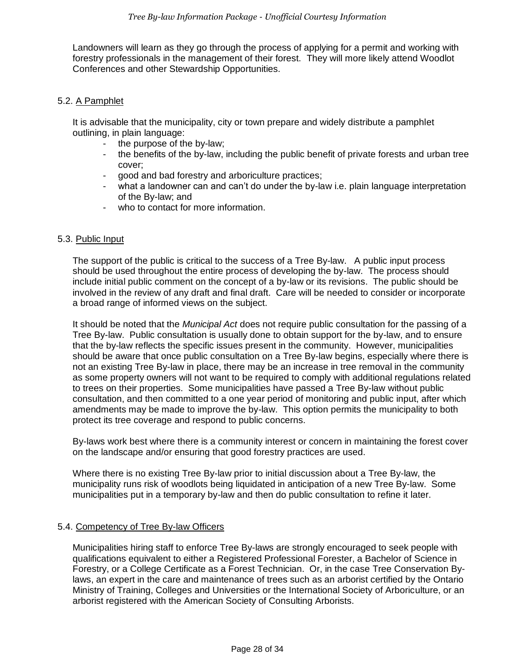Landowners will learn as they go through the process of applying for a permit and working with forestry professionals in the management of their forest. They will more likely attend Woodlot Conferences and other Stewardship Opportunities.

#### 5.2. A Pamphlet

It is advisable that the municipality, city or town prepare and widely distribute a pamphlet outlining, in plain language:

- the purpose of the by-law;
- the benefits of the by-law, including the public benefit of private forests and urban tree cover;
- good and bad forestry and arboriculture practices;
- what a landowner can and can't do under the by-law i.e. plain language interpretation of the By-law; and
- who to contact for more information.

#### 5.3. Public Input

The support of the public is critical to the success of a Tree By-law. A public input process should be used throughout the entire process of developing the by-law. The process should include initial public comment on the concept of a by-law or its revisions. The public should be involved in the review of any draft and final draft. Care will be needed to consider or incorporate a broad range of informed views on the subject.

It should be noted that the *Municipal Act* does not require public consultation for the passing of a Tree By-law. Public consultation is usually done to obtain support for the by-law, and to ensure that the by-law reflects the specific issues present in the community. However, municipalities should be aware that once public consultation on a Tree By-law begins, especially where there is not an existing Tree By-law in place, there may be an increase in tree removal in the community as some property owners will not want to be required to comply with additional regulations related to trees on their properties. Some municipalities have passed a Tree By-law without public consultation, and then committed to a one year period of monitoring and public input, after which amendments may be made to improve the by-law. This option permits the municipality to both protect its tree coverage and respond to public concerns.

By-laws work best where there is a community interest or concern in maintaining the forest cover on the landscape and/or ensuring that good forestry practices are used.

Where there is no existing Tree By-law prior to initial discussion about a Tree By-law, the municipality runs risk of woodlots being liquidated in anticipation of a new Tree By-law. Some municipalities put in a temporary by-law and then do public consultation to refine it later.

## 5.4. Competency of Tree By-law Officers

Municipalities hiring staff to enforce Tree By-laws are strongly encouraged to seek people with qualifications equivalent to either a Registered Professional Forester, a Bachelor of Science in Forestry, or a College Certificate as a Forest Technician. Or, in the case Tree Conservation Bylaws, an expert in the care and maintenance of trees such as an arborist certified by the Ontario Ministry of Training, Colleges and Universities or the International Society of Arboriculture, or an arborist registered with the American Society of Consulting Arborists.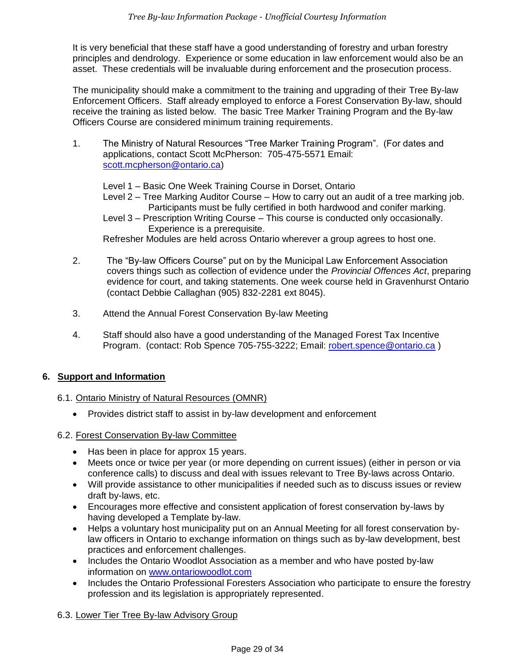It is very beneficial that these staff have a good understanding of forestry and urban forestry principles and dendrology. Experience or some education in law enforcement would also be an asset. These credentials will be invaluable during enforcement and the prosecution process.

The municipality should make a commitment to the training and upgrading of their Tree By-law Enforcement Officers. Staff already employed to enforce a Forest Conservation By-law, should receive the training as listed below. The basic Tree Marker Training Program and the By-law Officers Course are considered minimum training requirements.

- 1. The Ministry of Natural Resources "Tree Marker Training Program". (For dates and applications, contact Scott McPherson: 705-475-5571 Email: [scott.mcpherson@ontario.ca\)](mailto:scott.mcpherson@ontario.ca)
	- Level 1 Basic One Week Training Course in Dorset, Ontario
	- Level 2 Tree Marking Auditor Course How to carry out an audit of a tree marking job. Participants must be fully certified in both hardwood and conifer marking.

Level 3 – Prescription Writing Course – This course is conducted only occasionally. Experience is a prerequisite.

Refresher Modules are held across Ontario wherever a group agrees to host one.

- 2. The "By-law Officers Course" put on by the Municipal Law Enforcement Association covers things such as collection of evidence under the *Provincial Offences Act*, preparing evidence for court, and taking statements. One week course held in Gravenhurst Ontario (contact Debbie Callaghan (905) 832-2281 ext 8045).
- 3. Attend the Annual Forest Conservation By-law Meeting
- 4. Staff should also have a good understanding of the Managed Forest Tax Incentive Program. (contact: Rob Spence 705-755-3222; Email: [robert.spence@ontario.ca](mailto:robert.spence@ontario.ca) )

## <span id="page-28-0"></span>**6. Support and Information**

## 6.1. Ontario Ministry of Natural Resources (OMNR)

Provides district staff to assist in by-law development and enforcement

#### 6.2. Forest Conservation By-law Committee

- Has been in place for approx 15 years.
- Meets once or twice per year (or more depending on current issues) (either in person or via conference calls) to discuss and deal with issues relevant to Tree By-laws across Ontario.
- Will provide assistance to other municipalities if needed such as to discuss issues or review draft by-laws, etc.
- Encourages more effective and consistent application of forest conservation by-laws by having developed a Template by-law.
- Helps a voluntary host municipality put on an Annual Meeting for all forest conservation bylaw officers in Ontario to exchange information on things such as by-law development, best practices and enforcement challenges.
- Includes the Ontario Woodlot Association as a member and who have posted by-law information on [www.ontariowoodlot.com](http://www.ontariowoodlot.com/)
- Includes the Ontario Professional Foresters Association who participate to ensure the forestry profession and its legislation is appropriately represented.

## 6.3. Lower Tier Tree By-law Advisory Group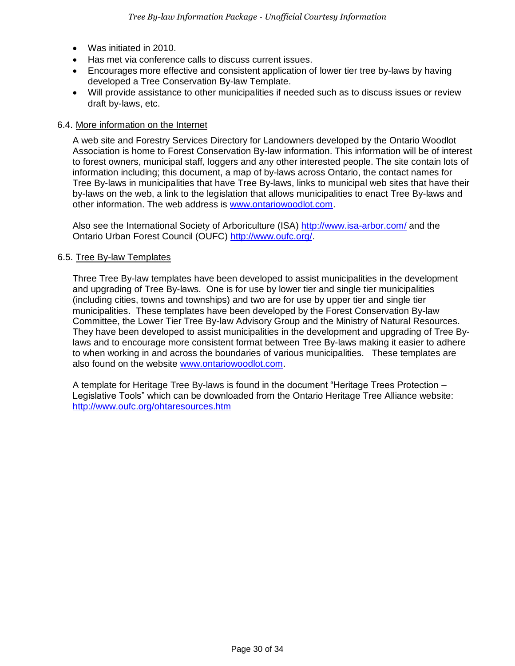- Was initiated in 2010.
- Has met via conference calls to discuss current issues.
- Encourages more effective and consistent application of lower tier tree by-laws by having developed a Tree Conservation By-law Template.
- Will provide assistance to other municipalities if needed such as to discuss issues or review draft by-laws, etc.

#### 6.4. More information on the Internet

A web site and Forestry Services Directory for Landowners developed by the Ontario Woodlot Association is home to Forest Conservation By-law information. This information will be of interest to forest owners, municipal staff, loggers and any other interested people. The site contain lots of information including; this document, a map of by-laws across Ontario, the contact names for Tree By-laws in municipalities that have Tree By-laws, links to municipal web sites that have their by-laws on the web, a link to the legislation that allows municipalities to enact Tree By-laws and other information. The web address is [www.ontariowoodlot.com.](http://www.ontariowoodlot.com/)

Also see the International Society of Arboriculture (ISA) <http://www.isa-arbor.com/> and the Ontario Urban Forest Council (OUFC) [http://www.oufc.org/.](http://www.oufc.org/)

#### 6.5. Tree By-law Templates

Three Tree By-law templates have been developed to assist municipalities in the development and upgrading of Tree By-laws. One is for use by lower tier and single tier municipalities (including cities, towns and townships) and two are for use by upper tier and single tier municipalities. These templates have been developed by the Forest Conservation By-law Committee, the Lower Tier Tree By-law Advisory Group and the Ministry of Natural Resources. They have been developed to assist municipalities in the development and upgrading of Tree Bylaws and to encourage more consistent format between Tree By-laws making it easier to adhere to when working in and across the boundaries of various municipalities. These templates are also found on the website [www.ontariowoodlot.com.](http://www.ontariowoodlot.com/)

A template for Heritage Tree By-laws is found in the document "Heritage Trees Protection – Legislative Tools" which can be downloaded from the Ontario Heritage Tree Alliance website: <http://www.oufc.org/ohtaresources.htm>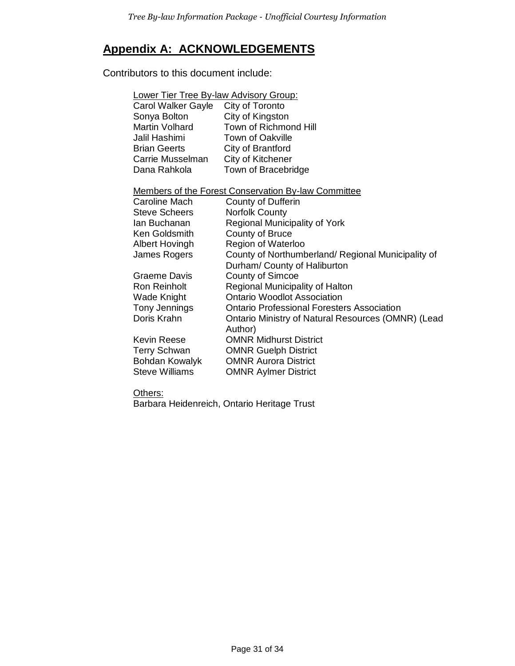## **Appendix A: ACKNOWLEDGEMENTS**

Contributors to this document include:

| <b>Lower Tier Tree By-law Advisory Group:</b>              |                                                               |  |  |
|------------------------------------------------------------|---------------------------------------------------------------|--|--|
| Carol Walker Gayle                                         | City of Toronto                                               |  |  |
| Sonya Bolton                                               | City of Kingston                                              |  |  |
| Martin Volhard                                             | Town of Richmond Hill                                         |  |  |
| Jalil Hashimi                                              | <b>Town of Oakville</b>                                       |  |  |
| <b>Brian Geerts</b>                                        | City of Brantford                                             |  |  |
| Carrie Musselman                                           | City of Kitchener                                             |  |  |
| Dana Rahkola                                               | Town of Bracebridge                                           |  |  |
|                                                            |                                                               |  |  |
| <b>Members of the Forest Conservation By-law Committee</b> |                                                               |  |  |
| Caroline Mach                                              | <b>County of Dufferin</b>                                     |  |  |
| <b>Steve Scheers</b>                                       | <b>Norfolk County</b>                                         |  |  |
| lan Buchanan                                               | Regional Municipality of York                                 |  |  |
| Ken Goldsmith                                              | County of Bruce                                               |  |  |
| <b>Albert Hovingh</b>                                      | Region of Waterloo                                            |  |  |
| James Rogers                                               | County of Northumberland/ Regional Municipality of            |  |  |
|                                                            | Durham/ County of Haliburton                                  |  |  |
| Graeme Davis                                               | <b>County of Simcoe</b>                                       |  |  |
| Ron Reinholt                                               | Regional Municipality of Halton                               |  |  |
| Wade Knight                                                | <b>Ontario Woodlot Association</b>                            |  |  |
| Tony Jennings                                              | <b>Ontario Professional Foresters Association</b>             |  |  |
| Doris Krahn                                                | Ontario Ministry of Natural Resources (OMNR) (Lead<br>Author) |  |  |
| Kevin Reese                                                | <b>OMNR Midhurst District</b>                                 |  |  |
| <b>Terry Schwan</b>                                        | <b>OMNR Guelph District</b>                                   |  |  |
| Bohdan Kowalyk                                             | <b>OMNR Aurora District</b>                                   |  |  |
| <b>Steve Williams</b>                                      | <b>OMNR Aylmer District</b>                                   |  |  |
|                                                            |                                                               |  |  |

Others:

Barbara Heidenreich, Ontario Heritage Trust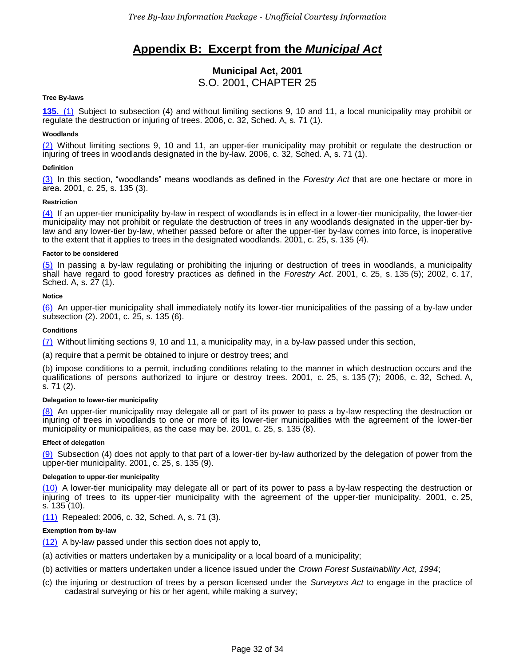## **Appendix B: Excerpt from the** *Municipal Act*

## **Municipal Act, 2001** S.O. 2001, CHAPTER 25

#### **Tree By-laws**

**[135.](http://www.e-laws.gov.on.ca/html/statutes/french/elaws_statutes_01m25_f.htm#s135s1)** [\(1\)](http://www.e-laws.gov.on.ca/html/statutes/french/elaws_statutes_01m25_f.htm#s135s1) Subject to subsection (4) and without limiting sections 9, 10 and 11, a local municipality may prohibit or regulate the destruction or injuring of trees. 2006, c. 32, Sched. A, s. 71 (1).

#### **Woodlands**

[\(2\)](http://www.e-laws.gov.on.ca/html/statutes/french/elaws_statutes_01m25_f.htm#s135s2) Without limiting sections 9, 10 and 11, an upper-tier municipality may prohibit or regulate the destruction or injuring of trees in woodlands designated in the by-law. 2006, c. 32, Sched. A, s. 71 (1).

#### **Definition**

[\(3\)](http://www.e-laws.gov.on.ca/html/statutes/french/elaws_statutes_01m25_f.htm#s135s3) In this section, "woodlands" means woodlands as defined in the *Forestry Act* that are one hectare or more in area. 2001, c. 25, s. 135 (3).

#### **Restriction**

[\(4\)](http://www.e-laws.gov.on.ca/html/statutes/french/elaws_statutes_01m25_f.htm#s135s4) If an upper-tier municipality by-law in respect of woodlands is in effect in a lower-tier municipality, the lower-tier municipality may not prohibit or regulate the destruction of trees in any woodlands designated in the upper-tier bylaw and any lower-tier by-law, whether passed before or after the upper-tier by-law comes into force, is inoperative to the extent that it applies to trees in the designated woodlands. 2001, c. 25, s. 135 (4).

#### **Factor to be considered**

[\(5\)](http://www.e-laws.gov.on.ca/html/statutes/french/elaws_statutes_01m25_f.htm#s135s5) In passing a by-law regulating or prohibiting the injuring or destruction of trees in woodlands, a municipality shall have regard to good forestry practices as defined in the *Forestry Act*. 2001, c. 25, s. 135 (5); 2002, c. 17, Sched. A, s. 27 (1).

#### **Notice**

[\(6\)](http://www.e-laws.gov.on.ca/html/statutes/french/elaws_statutes_01m25_f.htm#s135s6) An upper-tier municipality shall immediately notify its lower-tier municipalities of the passing of a by-law under subsection (2). 2001, c. 25, s. 135 (6).

#### **Conditions**

 $(7)$  Without limiting sections 9, 10 and 11, a municipality may, in a by-law passed under this section,

(a) require that a permit be obtained to injure or destroy trees; and

(b) impose conditions to a permit, including conditions relating to the manner in which destruction occurs and the qualifications of persons authorized to injure or destroy trees. 2001, c. 25, s. 135 (7); 2006, c. 32, Sched. A, s. 71 (2).

#### **Delegation to lower-tier municipality**

[\(8\)](http://www.e-laws.gov.on.ca/html/statutes/french/elaws_statutes_01m25_f.htm#s135s8) An upper-tier municipality may delegate all or part of its power to pass a by-law respecting the destruction or injuring of trees in woodlands to one or more of its lower-tier municipalities with the agreement of the lower-tier municipality or municipalities, as the case may be. 2001, c. 25, s. 135 (8).

#### **Effect of delegation**

 $(9)$  Subsection (4) does not apply to that part of a lower-tier by-law authorized by the delegation of power from the upper-tier municipality. 2001, c. 25, s. 135 (9).

#### **Delegation to upper-tier municipality**

[\(10\)](http://www.e-laws.gov.on.ca/html/statutes/french/elaws_statutes_01m25_f.htm#s135s10) A lower-tier municipality may delegate all or part of its power to pass a by-law respecting the destruction or injuring of trees to its upper-tier municipality with the agreement of the upper-tier municipality. 2001, c. 25, s. 135 (10).

[\(11\)](http://www.e-laws.gov.on.ca/html/statutes/french/elaws_statutes_01m25_f.htm#s135s11) Repealed: 2006, c. 32, Sched. A, s. 71 (3).

#### **Exemption from by-law**

[\(12\)](http://www.e-laws.gov.on.ca/html/statutes/french/elaws_statutes_01m25_f.htm#s135s12) A by-law passed under this section does not apply to,

- (a) activities or matters undertaken by a municipality or a local board of a municipality;
- (b) activities or matters undertaken under a licence issued under the *Crown Forest Sustainability Act, 1994*;
- (c) the injuring or destruction of trees by a person licensed under the *Surveyors Act* to engage in the practice of cadastral surveying or his or her agent, while making a survey;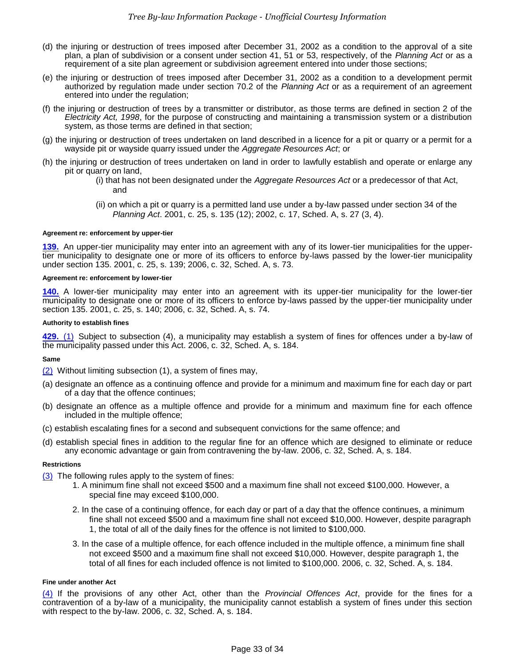- (d) the injuring or destruction of trees imposed after December 31, 2002 as a condition to the approval of a site plan, a plan of subdivision or a consent under section 41, 51 or 53, respectively, of the *Planning Act* or as a requirement of a site plan agreement or subdivision agreement entered into under those sections;
- (e) the injuring or destruction of trees imposed after December 31, 2002 as a condition to a development permit authorized by regulation made under section 70.2 of the *Planning Act* or as a requirement of an agreement entered into under the regulation;
- (f) the injuring or destruction of trees by a transmitter or distributor, as those terms are defined in section 2 of the *Electricity Act, 1998*, for the purpose of constructing and maintaining a transmission system or a distribution system, as those terms are defined in that section;
- (g) the injuring or destruction of trees undertaken on land described in a licence for a pit or quarry or a permit for a wayside pit or wayside quarry issued under the *Aggregate Resources Act*; or
- (h) the injuring or destruction of trees undertaken on land in order to lawfully establish and operate or enlarge any pit or quarry on land,
	- (i) that has not been designated under the *Aggregate Resources Act* or a predecessor of that Act, and
	- (ii) on which a pit or quarry is a permitted land use under a by-law passed under section 34 of the *Planning Act*. 2001, c. 25, s. 135 (12); 2002, c. 17, Sched. A, s. 27 (3, 4).

#### **Agreement re: enforcement by upper-tier**

**[139.](http://www.e-laws.gov.on.ca/html/statutes/french/elaws_statutes_01m25_f.htm#s139)** An upper-tier municipality may enter into an agreement with any of its lower-tier municipalities for the uppertier municipality to designate one or more of its officers to enforce by-laws passed by the lower-tier municipality under section 135. 2001, c. 25, s. 139; 2006, c. 32, Sched. A, s. 73.

#### **Agreement re: enforcement by lower-tier**

**[140.](http://www.e-laws.gov.on.ca/html/statutes/french/elaws_statutes_01m25_f.htm#s140)** A lower-tier municipality may enter into an agreement with its upper-tier municipality for the lower-tier municipality to designate one or more of its officers to enforce by-laws passed by the upper-tier municipality under section 135. 2001, c. 25, s. 140; 2006, c. 32, Sched. A, s. 74.

#### **Authority to establish fines**

**[429.](http://www.e-laws.gov.on.ca/html/statutes/french/elaws_statutes_01m25_f.htm#s429s1)** [\(1\)](http://www.e-laws.gov.on.ca/html/statutes/french/elaws_statutes_01m25_f.htm#s429s1) Subject to subsection (4), a municipality may establish a system of fines for offences under a by-law of the municipality passed under this Act. 2006, c. 32, Sched. A, s. 184.

#### **Same**

[\(2\)](http://www.e-laws.gov.on.ca/html/statutes/french/elaws_statutes_01m25_f.htm#s429s2) Without limiting subsection (1), a system of fines may,

- (a) designate an offence as a continuing offence and provide for a minimum and maximum fine for each day or part of a day that the offence continues;
- (b) designate an offence as a multiple offence and provide for a minimum and maximum fine for each offence included in the multiple offence;
- (c) establish escalating fines for a second and subsequent convictions for the same offence; and
- (d) establish special fines in addition to the regular fine for an offence which are designed to eliminate or reduce any economic advantage or gain from contravening the by-law. 2006, c. 32, Sched. A, s. 184.

#### **Restrictions**

- [\(3\)](http://www.e-laws.gov.on.ca/html/statutes/french/elaws_statutes_01m25_f.htm#s429s3) The following rules apply to the system of fines:
	- 1. A minimum fine shall not exceed \$500 and a maximum fine shall not exceed \$100,000. However, a special fine may exceed \$100,000.
	- 2. In the case of a continuing offence, for each day or part of a day that the offence continues, a minimum fine shall not exceed \$500 and a maximum fine shall not exceed \$10,000. However, despite paragraph 1, the total of all of the daily fines for the offence is not limited to \$100,000.
	- 3. In the case of a multiple offence, for each offence included in the multiple offence, a minimum fine shall not exceed \$500 and a maximum fine shall not exceed \$10,000. However, despite paragraph 1, the total of all fines for each included offence is not limited to \$100,000. 2006, c. 32, Sched. A, s. 184.

#### **Fine under another Act**

[\(4\)](http://www.e-laws.gov.on.ca/html/statutes/french/elaws_statutes_01m25_f.htm#s429s4) If the provisions of any other Act, other than the *Provincial Offences Act*, provide for the fines for a contravention of a by-law of a municipality, the municipality cannot establish a system of fines under this section with respect to the by-law. 2006, c. 32, Sched. A, s. 184.